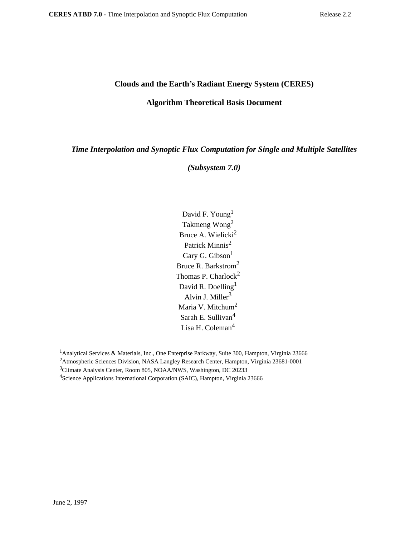## **Clouds and the Earth's Radiant Energy System (CERES)**

## **Algorithm Theoretical Basis Document**

*Time Interpolation and Synoptic Flux Computation for Single and Multiple Satellites*

*(Subsystem 7.0)*

David F. Young<sup>1</sup> Takmeng Wong2 Bruce A. Wielicki<sup>2</sup> Patrick Minnis<sup>2</sup> Gary G. Gibson<sup>1</sup> Bruce R. Barkstrom<sup>2</sup> Thomas P. Charlock<sup>2</sup> David R. Doelling<sup>1</sup> Alvin J. Miller $3$ Maria V. Mitchum<sup>2</sup> Sarah E. Sullivan<sup>4</sup> Lisa H. Coleman<sup>4</sup>

<sup>1</sup> Analytical Services & Materials, Inc., One Enterprise Parkway, Suite 300, Hampton, Virginia 23666 2Atmospheric Sciences Division, NASA Langley Research Center, Hampton, Virginia 23681-0001

3Climate Analysis Center, Room 805, NOAA/NWS, Washington, DC 20233

<sup>4</sup>Science Applications International Corporation (SAIC), Hampton, Virginia 23666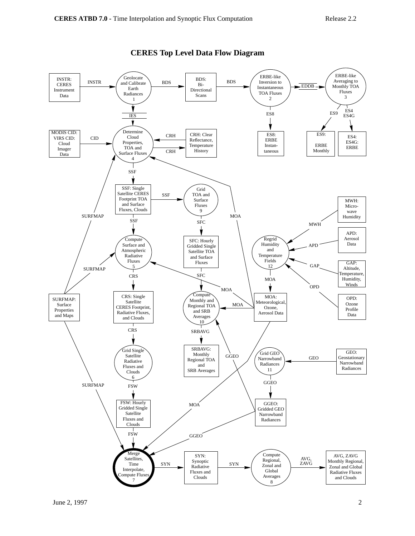

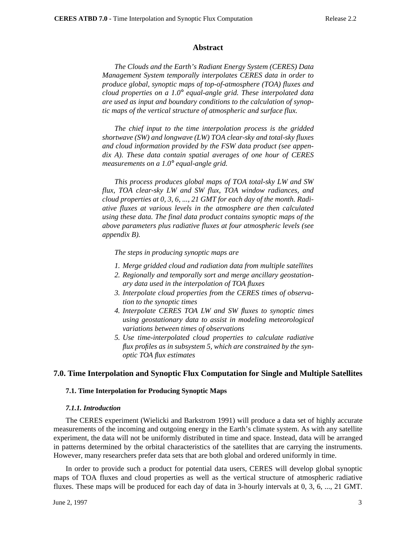#### **Abstract**

*The Clouds and the Earth's Radiant Energy System (CERES) Data Management System temporally interpolates CERES data in order to produce global, synoptic maps of top-of-atmosphere (TOA) fluxes and cloud properties on a 1.0*° *equal-angle grid. These interpolated data are used as input and boundary conditions to the calculation of synoptic maps of the vertical structure of atmospheric and surface flux.*

*The chief input to the time interpolation process is the gridded shortwave (SW) and longwave (LW) TOA clear-sky and total-sky fluxes and cloud information provided by the FSW data product (see appendix A). These data contain spatial averages of one hour of CERES measurements on a 1.0*° *equal-angle grid.*

*This process produces global maps of TOA total-sky LW and SW flux, TOA clear-sky LW and SW flux, TOA window radiances, and cloud properties at 0, 3, 6, ..., 21 GMT for each day of the month. Radiative fluxes at various levels in the atmosphere are then calculated using these data. The final data product contains synoptic maps of the above parameters plus radiative fluxes at four atmospheric levels (see appendix B).*

*The steps in producing synoptic maps are*

- *1. Merge gridded cloud and radiation data from multiple satellites*
- *2. Regionally and temporally sort and merge ancillary geostationary data used in the interpolation of TOA fluxes*
- *3. Interpolate cloud properties from the CERES times of observation to the synoptic times*
- *4. Interpolate CERES TOA LW and SW fluxes to synoptic times using geostationary data to assist in modeling meteorological variations between times of observations*
- *5. Use time-interpolated cloud properties to calculate radiative flux profiles as in subsystem 5, which are constrained by the synoptic TOA flux estimates*

### **7.0. Time Interpolation and Synoptic Flux Computation for Single and Multiple Satellites**

#### **7.1. Time Interpolation for Producing Synoptic Maps**

#### *7.1.1. Introduction*

The CERES experiment (Wielicki and Barkstrom 1991) will produce a data set of highly accurate measurements of the incoming and outgoing energy in the Earth's climate system. As with any satellite experiment, the data will not be uniformly distributed in time and space. Instead, data will be arranged in patterns determined by the orbital characteristics of the satellites that are carrying the instruments. However, many researchers prefer data sets that are both global and ordered uniformly in time.

In order to provide such a product for potential data users, CERES will develop global synoptic maps of TOA fluxes and cloud properties as well as the vertical structure of atmospheric radiative fluxes. These maps will be produced for each day of data in 3-hourly intervals at 0, 3, 6, ..., 21 GMT.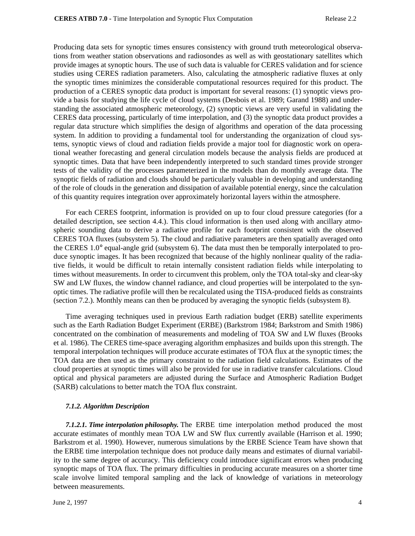Producing data sets for synoptic times ensures consistency with ground truth meteorological observations from weather station observations and radiosondes as well as with geostationary satellites which provide images at synoptic hours. The use of such data is valuable for CERES validation and for science studies using CERES radiation parameters. Also, calculating the atmospheric radiative fluxes at only the synoptic times minimizes the considerable computational resources required for this product. The production of a CERES synoptic data product is important for several reasons: (1) synoptic views provide a basis for studying the life cycle of cloud systems (Desbois et al. 1989; Garand 1988) and understanding the associated atmospheric meteorology, (2) synoptic views are very useful in validating the CERES data processing, particularly of time interpolation, and (3) the synoptic data product provides a regular data structure which simplifies the design of algorithms and operation of the data processing system. In addition to providing a fundamental tool for understanding the organization of cloud systems, synoptic views of cloud and radiation fields provide a major tool for diagnostic work on operational weather forecasting and general circulation models because the analysis fields are produced at synoptic times. Data that have been independently interpreted to such standard times provide stronger tests of the validity of the processes parameterized in the models than do monthly average data. The synoptic fields of radiation and clouds should be particularly valuable in developing and understanding of the role of clouds in the generation and dissipation of available potential energy, since the calculation of this quantity requires integration over approximately horizontal layers within the atmosphere.

For each CERES footprint, information is provided on up to four cloud pressure categories (for a detailed description, see section 4.4.). This cloud information is then used along with ancillary atmospheric sounding data to derive a radiative profile for each footprint consistent with the observed CERES TOA fluxes (subsystem 5). The cloud and radiative parameters are then spatially averaged onto the CERES 1.0° equal-angle grid (subsystem 6). The data must then be temporally interpolated to produce synoptic images. It has been recognized that because of the highly nonlinear quality of the radiative fields, it would be difficult to retain internally consistent radiation fields while interpolating to times without measurements. In order to circumvent this problem, only the TOA total-sky and clear-sky SW and LW fluxes, the window channel radiance, and cloud properties will be interpolated to the synoptic times. The radiative profile will then be recalculated using the TISA-produced fields as constraints (section 7.2.). Monthly means can then be produced by averaging the synoptic fields (subsystem 8).

Time averaging techniques used in previous Earth radiation budget (ERB) satellite experiments such as the Earth Radiation Budget Experiment (ERBE) (Barkstrom 1984; Barkstrom and Smith 1986) concentrated on the combination of measurements and modeling of TOA SW and LW fluxes (Brooks et al. 1986). The CERES time-space averaging algorithm emphasizes and builds upon this strength. The temporal interpolation techniques will produce accurate estimates of TOA flux at the synoptic times; the TOA data are then used as the primary constraint to the radiation field calculations. Estimates of the cloud properties at synoptic times will also be provided for use in radiative transfer calculations. Cloud optical and physical parameters are adjusted during the Surface and Atmospheric Radiation Budget (SARB) calculations to better match the TOA flux constraint.

### *7.1.2. Algorithm Description*

*7.1.2.1. Time interpolation philosophy.* The ERBE time interpolation method produced the most accurate estimates of monthly mean TOA LW and SW flux currently available (Harrison et al. 1990; Barkstrom et al. 1990). However, numerous simulations by the ERBE Science Team have shown that the ERBE time interpolation technique does not produce daily means and estimates of diurnal variability to the same degree of accuracy. This deficiency could introduce significant errors when producing synoptic maps of TOA flux. The primary difficulties in producing accurate measures on a shorter time scale involve limited temporal sampling and the lack of knowledge of variations in meteorology between measurements.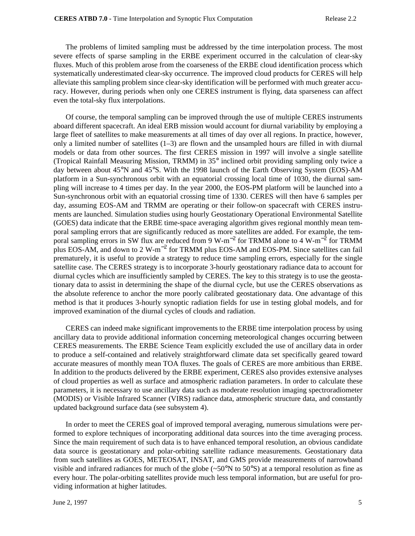The problems of limited sampling must be addressed by the time interpolation process. The most severe effects of sparse sampling in the ERBE experiment occurred in the calculation of clear-sky fluxes. Much of this problem arose from the coarseness of the ERBE cloud identification process which systematically underestimated clear-sky occurrence. The improved cloud products for CERES will help alleviate this sampling problem since clear-sky identification will be performed with much greater accuracy. However, during periods when only one CERES instrument is flying, data sparseness can affect even the total-sky flux interpolations.

Of course, the temporal sampling can be improved through the use of multiple CERES instruments aboard different spacecraft. An ideal ERB mission would account for diurnal variability by employing a large fleet of satellites to make measurements at all times of day over all regions. In practice, however, only a limited number of satellites  $(1-3)$  are flown and the unsampled hours are filled in with diurnal models or data from other sources. The first CERES mission in 1997 will involve a single satellite (Tropical Rainfall Measuring Mission, TRMM) in 35° inclined orbit providing sampling only twice a day between about 45°N and 45°S. With the 1998 launch of the Earth Observing System (EOS)-AM platform in a Sun-synchronous orbit with an equatorial crossing local time of 1030, the diurnal sampling will increase to 4 times per day. In the year 2000, the EOS-PM platform will be launched into a Sun-synchronous orbit with an equatorial crossing time of 1330. CERES will then have 6 samples per day, assuming EOS-AM and TRMM are operating or their follow-on spacecraft with CERES instruments are launched. Simulation studies using hourly Geostationary Operational Environmental Satellite (GOES) data indicate that the ERBE time-space averaging algorithm gives regional monthly mean temporal sampling errors that are significantly reduced as more satellites are added. For example, the temporal sampling errors in SW flux are reduced from 9 W-m<sup>-2</sup> for TRMM alone to 4 W-m<sup>-2</sup> for TRMM plus EOS-AM, and down to 2 W-m<sup>-2</sup> for TRMM plus EOS-AM and EOS-PM. Since satellites can fail prematurely, it is useful to provide a strategy to reduce time sampling errors, especially for the single satellite case. The CERES strategy is to incorporate 3-hourly geostationary radiance data to account for diurnal cycles which are insufficiently sampled by CERES. The key to this strategy is to use the geostationary data to assist in determining the shape of the diurnal cycle, but use the CERES observations as the absolute reference to anchor the more poorly calibrated geostationary data. One advantage of this method is that it produces 3-hourly synoptic radiation fields for use in testing global models, and for improved examination of the diurnal cycles of clouds and radiation.

CERES can indeed make significant improvements to the ERBE time interpolation process by using ancillary data to provide additional information concerning meteorological changes occurring between CERES measurements. The ERBE Science Team explicitly excluded the use of ancillary data in order to produce a self-contained and relatively straightforward climate data set specifically geared toward accurate measures of monthly mean TOA fluxes. The goals of CERES are more ambitious than ERBE. In addition to the products delivered by the ERBE experiment, CERES also provides extensive analyses of cloud properties as well as surface and atmospheric radiation parameters. In order to calculate these parameters, it is necessary to use ancillary data such as moderate resolution imaging spectroradiometer (MODIS) or Visible Infrared Scanner (VIRS) radiance data, atmospheric structure data, and constantly updated background surface data (see subsystem 4).

In order to meet the CERES goal of improved temporal averaging, numerous simulations were performed to explore techniques of incorporating additional data sources into the time averaging process. Since the main requirement of such data is to have enhanced temporal resolution, an obvious candidate data source is geostationary and polar-orbiting satellite radiance measurements. Geostationary data from such satellites as GOES, METEOSAT, INSAT, and GMS provide measurements of narrowband visible and infrared radiances for much of the globe (~50°N to 50°S) at a temporal resolution as fine as every hour. The polar-orbiting satellites provide much less temporal information, but are useful for providing information at higher latitudes.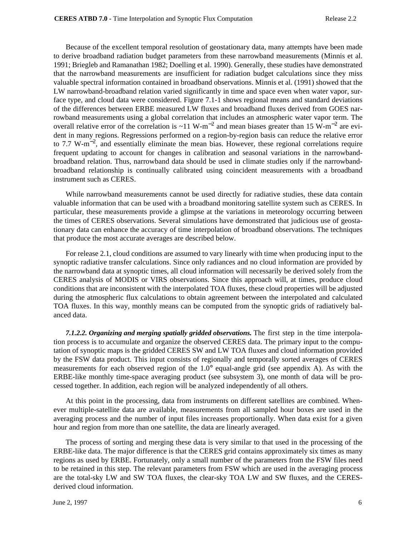Because of the excellent temporal resolution of geostationary data, many attempts have been made to derive broadband radiation budget parameters from these narrowband measurements (Minnis et al. 1991; Briegleb and Ramanathan 1982; Doelling et al. 1990). Generally, these studies have demonstrated that the narrowband measurements are insufficient for radiation budget calculations since they miss valuable spectral information contained in broadband observations. Minnis et al. (1991) showed that the LW narrowband-broadband relation varied significantly in time and space even when water vapor, surface type, and cloud data were considered. Figure 7.1-1 shows regional means and standard deviations of the differences between ERBE measured LW fluxes and broadband fluxes derived from GOES narrowband measurements using a global correlation that includes an atmospheric water vapor term. The overall relative error of the correlation is ~11 W-m<sup>-2</sup> and mean biases greater than 15 W-m<sup>-2</sup> are evident in many regions. Regressions performed on a region-by-region basis can reduce the relative error to 7.7 W-m−<sup>2</sup> , and essentially eliminate the mean bias. However, these regional correlations require frequent updating to account for changes in calibration and seasonal variations in the narrowbandbroadband relation. Thus, narrowband data should be used in climate studies only if the narrowbandbroadband relationship is continually calibrated using coincident measurements with a broadband instrument such as CERES.

While narrowband measurements cannot be used directly for radiative studies, these data contain valuable information that can be used with a broadband monitoring satellite system such as CERES. In particular, these measurements provide a glimpse at the variations in meteorology occurring between the times of CERES observations. Several simulations have demonstrated that judicious use of geostationary data can enhance the accuracy of time interpolation of broadband observations. The techniques that produce the most accurate averages are described below.

For release 2.1, cloud conditions are assumed to vary linearly with time when producing input to the synoptic radiative transfer calculations. Since only radiances and no cloud information are provided by the narrowband data at synoptic times, all cloud information will necessarily be derived solely from the CERES analysis of MODIS or VIRS observations. Since this approach will, at times, produce cloud conditions that are inconsistent with the interpolated TOA fluxes, these cloud properties will be adjusted during the atmospheric flux calculations to obtain agreement between the interpolated and calculated TOA fluxes. In this way, monthly means can be computed from the synoptic grids of radiatively balanced data.

*7.1.2.2. Organizing and merging spatially gridded observations.* The first step in the time interpolation process is to accumulate and organize the observed CERES data. The primary input to the computation of synoptic maps is the gridded CERES SW and LW TOA fluxes and cloud information provided by the FSW data product. This input consists of regionally and temporally sorted averages of CERES measurements for each observed region of the 1.0° equal-angle grid (see appendix A). As with the ERBE-like monthly time-space averaging product (see subsystem 3), one month of data will be processed together. In addition, each region will be analyzed independently of all others.

At this point in the processing, data from instruments on different satellites are combined. Whenever multiple-satellite data are available, measurements from all sampled hour boxes are used in the averaging process and the number of input files increases proportionally. When data exist for a given hour and region from more than one satellite, the data are linearly averaged.

The process of sorting and merging these data is very similar to that used in the processing of the ERBE-like data. The major difference is that the CERES grid contains approximately six times as many regions as used by ERBE. Fortunately, only a small number of the parameters from the FSW files need to be retained in this step. The relevant parameters from FSW which are used in the averaging process are the total-sky LW and SW TOA fluxes, the clear-sky TOA LW and SW fluxes, and the CERESderived cloud information.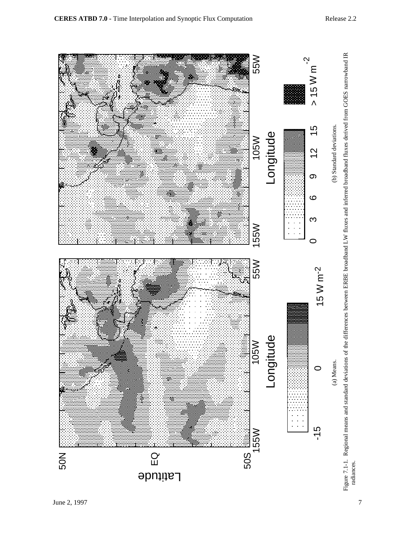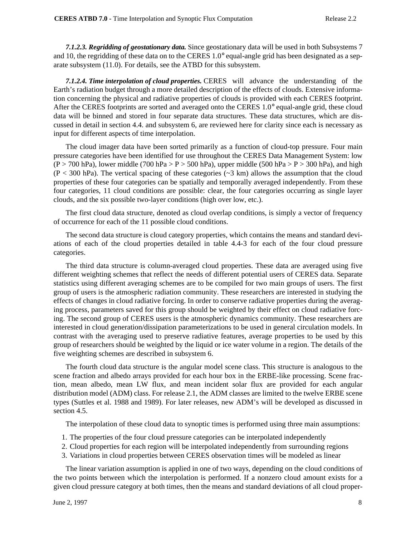*7.1.2.3. Regridding of geostationary data.* Since geostationary data will be used in both Subsystems 7 and 10, the regridding of these data on to the CERES 1.0° equal-angle grid has been designated as a separate subsystem (11.0). For details, see the ATBD for this subsystem.

*7.1.2.4. Time interpolation of cloud properties.* CERES will advance the understanding of the Earth's radiation budget through a more detailed description of the effects of clouds. Extensive information concerning the physical and radiative properties of clouds is provided with each CERES footprint. After the CERES footprints are sorted and averaged onto the CERES 1.0° equal-angle grid, these cloud data will be binned and stored in four separate data structures. These data structures, which are discussed in detail in section 4.4. and subsystem 6, are reviewed here for clarity since each is necessary as input for different aspects of time interpolation.

The cloud imager data have been sorted primarily as a function of cloud-top pressure. Four main pressure categories have been identified for use throughout the CERES Data Management System: low  $(P > 700$  hPa), lower middle (700 hPa > P > 500 hPa), upper middle (500 hPa > P > 300 hPa), and high  $(P < 300$  hPa). The vertical spacing of these categories ( $\sim$ 3 km) allows the assumption that the cloud properties of these four categories can be spatially and temporally averaged independently. From these four categories, 11 cloud conditions are possible: clear, the four categories occurring as single layer clouds, and the six possible two-layer conditions (high over low, etc.).

The first cloud data structure, denoted as cloud overlap conditions, is simply a vector of frequency of occurrence for each of the 11 possible cloud conditions.

The second data structure is cloud category properties, which contains the means and standard deviations of each of the cloud properties detailed in table 4.4-3 for each of the four cloud pressure categories.

The third data structure is column-averaged cloud properties. These data are averaged using five different weighting schemes that reflect the needs of different potential users of CERES data. Separate statistics using different averaging schemes are to be compiled for two main groups of users. The first group of users is the atmospheric radiation community. These researchers are interested in studying the effects of changes in cloud radiative forcing. In order to conserve radiative properties during the averaging process, parameters saved for this group should be weighted by their effect on cloud radiative forcing. The second group of CERES users is the atmospheric dynamics community. These researchers are interested in cloud generation/dissipation parameterizations to be used in general circulation models. In contrast with the averaging used to preserve radiative features, average properties to be used by this group of researchers should be weighted by the liquid or ice water volume in a region. The details of the five weighting schemes are described in subsystem 6.

The fourth cloud data structure is the angular model scene class. This structure is analogous to the scene fraction and albedo arrays provided for each hour box in the ERBE-like processing. Scene fraction, mean albedo, mean LW flux, and mean incident solar flux are provided for each angular distribution model (ADM) class. For release 2.1, the ADM classes are limited to the twelve ERBE scene types (Suttles et al. 1988 and 1989). For later releases, new ADM's will be developed as discussed in section 4.5.

The interpolation of these cloud data to synoptic times is performed using three main assumptions:

- 1. The properties of the four cloud pressure categories can be interpolated independently
- 2. Cloud properties for each region will be interpolated independently from surrounding regions
- 3. Variations in cloud properties between CERES observation times will be modeled as linear

The linear variation assumption is applied in one of two ways, depending on the cloud conditions of the two points between which the interpolation is performed. If a nonzero cloud amount exists for a given cloud pressure category at both times, then the means and standard deviations of all cloud proper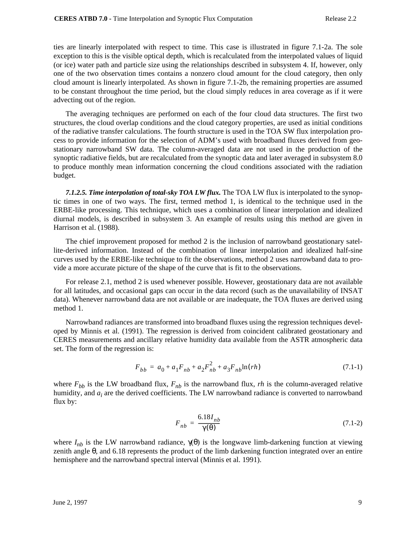ties are linearly interpolated with respect to time. This case is illustrated in figure 7.1-2a. The sole exception to this is the visible optical depth, which is recalculated from the interpolated values of liquid (or ice) water path and particle size using the relationships described in subsystem 4. If, however, only one of the two observation times contains a nonzero cloud amount for the cloud category, then only cloud amount is linearly interpolated. As shown in figure 7.1-2b, the remaining properties are assumed to be constant throughout the time period, but the cloud simply reduces in area coverage as if it were advecting out of the region.

The averaging techniques are performed on each of the four cloud data structures. The first two structures, the cloud overlap conditions and the cloud category properties, are used as initial conditions of the radiative transfer calculations. The fourth structure is used in the TOA SW flux interpolation process to provide information for the selection of ADM's used with broadband fluxes derived from geostationary narrowband SW data. The column-averaged data are not used in the production of the synoptic radiative fields, but are recalculated from the synoptic data and later averaged in subsystem 8.0 to produce monthly mean information concerning the cloud conditions associated with the radiation budget.

*7.1.2.5. Time interpolation of total-sky TOA LW flux.* The TOA LW flux is interpolated to the synoptic times in one of two ways. The first, termed method 1, is identical to the technique used in the ERBE-like processing. This technique, which uses a combination of linear interpolation and idealized diurnal models, is described in subsystem 3. An example of results using this method are given in Harrison et al. (1988).

The chief improvement proposed for method 2 is the inclusion of narrowband geostationary satellite-derived information. Instead of the combination of linear interpolation and idealized half-sine curves used by the ERBE-like technique to fit the observations, method 2 uses narrowband data to provide a more accurate picture of the shape of the curve that is fit to the observations.

For release 2.1, method 2 is used whenever possible. However, geostationary data are not available for all latitudes, and occasional gaps can occur in the data record (such as the unavailability of INSAT data). Whenever narrowband data are not available or are inadequate, the TOA fluxes are derived using method 1.

Narrowband radiances are transformed into broadband fluxes using the regression techniques developed by Minnis et al. (1991). The regression is derived from coincident calibrated geostationary and CERES measurements and ancillary relative humidity data available from the ASTR atmospheric data set. The form of the regression is:

$$
F_{bb} = a_0 + a_1 F_{nb} + a_2 F_{nb}^2 + a_3 F_{nb} \ln(rh)
$$
\n(7.1-1)

where  $F_{bb}$  is the LW broadband flux,  $F_{nb}$  is the narrowband flux, *rh* is the column-averaged relative humidity, and  $a_i$  are the derived coefficients. The LW narrowband radiance is converted to narrowband flux by:

$$
F_{nb} = \frac{6.18I_{nb}}{\gamma(\theta)}
$$
\n(7.1-2)

where  $I_{nb}$  is the LW narrowband radiance,  $\gamma(\theta)$  is the longwave limb-darkening function at viewing zenith angle θ, and 6.18 represents the product of the limb darkening function integrated over an entire hemisphere and the narrowband spectral interval (Minnis et al. 1991).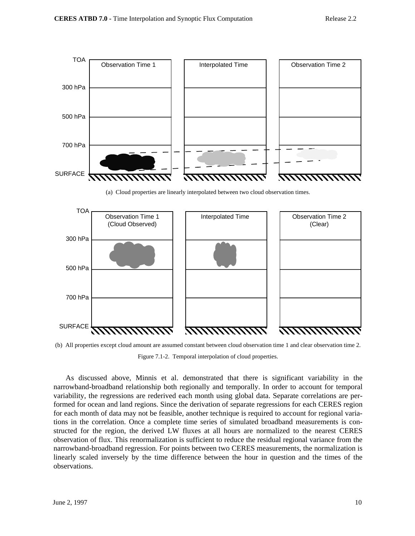

Figure 7.1-2. Temporal interpolation of cloud properties.

As discussed above, Minnis et al. demonstrated that there is significant variability in the narrowband-broadband relationship both regionally and temporally. In order to account for temporal variability, the regressions are rederived each month using global data. Separate correlations are performed for ocean and land regions. Since the derivation of separate regressions for each CERES region for each month of data may not be feasible, another technique is required to account for regional variations in the correlation. Once a complete time series of simulated broadband measurements is constructed for the region, the derived LW fluxes at all hours are normalized to the nearest CERES observation of flux. This renormalization is sufficient to reduce the residual regional variance from the narrowband-broadband regression. For points between two CERES measurements, the normalization is linearly scaled inversely by the time difference between the hour in question and the times of the observations.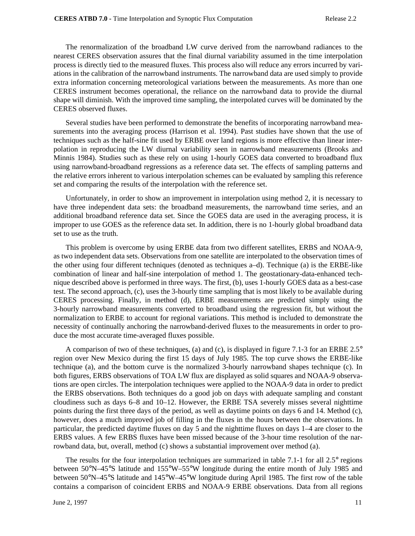The renormalization of the broadband LW curve derived from the narrowband radiances to the nearest CERES observation assures that the final diurnal variability assumed in the time interpolation process is directly tied to the measured fluxes. This process also will reduce any errors incurred by variations in the calibration of the narrowband instruments. The narrowband data are used simply to provide extra information concerning meteorological variations between the measurements. As more than one CERES instrument becomes operational, the reliance on the narrowband data to provide the diurnal shape will diminish. With the improved time sampling, the interpolated curves will be dominated by the CERES observed fluxes.

Several studies have been performed to demonstrate the benefits of incorporating narrowband measurements into the averaging process (Harrison et al. 1994). Past studies have shown that the use of techniques such as the half-sine fit used by ERBE over land regions is more effective than linear interpolation in reproducing the LW diurnal variability seen in narrowband measurements (Brooks and Minnis 1984). Studies such as these rely on using 1-hourly GOES data converted to broadband flux using narrowband-broadband regressions as a reference data set. The effects of sampling patterns and the relative errors inherent to various interpolation schemes can be evaluated by sampling this reference set and comparing the results of the interpolation with the reference set.

Unfortunately, in order to show an improvement in interpolation using method 2, it is necessary to have three independent data sets: the broadband measurements, the narrowband time series, and an additional broadband reference data set. Since the GOES data are used in the averaging process, it is improper to use GOES as the reference data set. In addition, there is no 1-hourly global broadband data set to use as the truth.

This problem is overcome by using ERBE data from two different satellites, ERBS and NOAA-9, as two independent data sets. Observations from one satellite are interpolated to the observation times of the other using four different techniques (denoted as techniques a–d). Technique (a) is the ERBE-like combination of linear and half-sine interpolation of method 1. The geostationary-data-enhanced technique described above is performed in three ways. The first, (b), uses 1-hourly GOES data as a best-case test. The second approach, (c), uses the 3-hourly time sampling that is most likely to be available during CERES processing. Finally, in method (d), ERBE measurements are predicted simply using the 3-hourly narrowband measurements converted to broadband using the regression fit, but without the normalization to ERBE to account for regional variations. This method is included to demonstrate the necessity of continually anchoring the narrowband-derived fluxes to the measurements in order to produce the most accurate time-averaged fluxes possible.

A comparison of two of these techniques, (a) and (c), is displayed in figure 7.1-3 for an ERBE 2.5° region over New Mexico during the first 15 days of July 1985. The top curve shows the ERBE-like technique (a), and the bottom curve is the normalized 3-hourly narrowband shapes technique (c). In both figures, ERBS observations of TOA LW flux are displayed as solid squares and NOAA-9 observations are open circles. The interpolation techniques were applied to the NOAA-9 data in order to predict the ERBS observations. Both techniques do a good job on days with adequate sampling and constant cloudiness such as days 6–8 and 10–12. However, the ERBE TSA severely misses several nighttime points during the first three days of the period, as well as daytime points on days 6 and 14. Method (c), however, does a much improved job of filling in the fluxes in the hours between the observations. In particular, the predicted daytime fluxes on day 5 and the nighttime fluxes on days 1–4 are closer to the ERBS values. A few ERBS fluxes have been missed because of the 3-hour time resolution of the narrowband data, but, overall, method (c) shows a substantial improvement over method (a).

The results for the four interpolation techniques are summarized in table 7.1-1 for all 2.5° regions between 50°N–45°S latitude and 155°W–55°W longitude during the entire month of July 1985 and between 50°N–45°S latitude and 145°W–45°W longitude during April 1985. The first row of the table contains a comparison of coincident ERBS and NOAA-9 ERBE observations. Data from all regions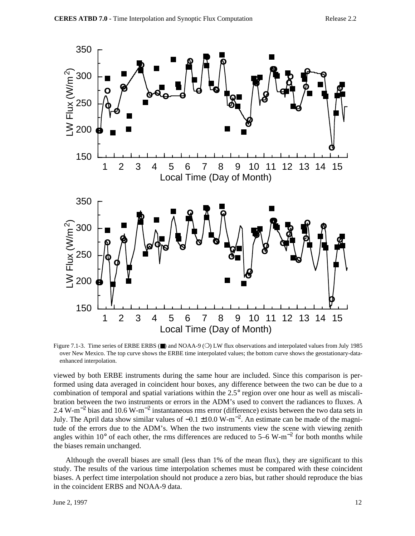

Figure 7.1-3. Time series of ERBE ERBS (■) and NOAA-9 (○) LW flux observations and interpolated values from July 1985 over New Mexico. The top curve shows the ERBE time interpolated values; the bottom curve shows the geostationary-dataenhanced interpolation.

viewed by both ERBE instruments during the same hour are included. Since this comparison is performed using data averaged in coincident hour boxes, any difference between the two can be due to a combination of temporal and spatial variations within the 2.5° region over one hour as well as miscalibration between the two instruments or errors in the ADM's used to convert the radiances to fluxes. A 2.4 W-m<sup>-2</sup> bias and 10.6 W-m<sup>-2</sup> instantaneous rms error (difference) exists between the two data sets in July. The April data show similar values of  $-0.1 \pm 10.0 \text{ W} \cdot \text{m}^{-2}$ . An estimate can be made of the magnitude of the errors due to the ADM's. When the two instruments view the scene with viewing zenith angles within 10 $^{\circ}$  of each other, the rms differences are reduced to 5–6 W-m<sup>-2</sup> for both months while the biases remain unchanged.

Although the overall biases are small (less than 1% of the mean flux), they are significant to this study. The results of the various time interpolation schemes must be compared with these coincident biases. A perfect time interpolation should not produce a zero bias, but rather should reproduce the bias in the coincident ERBS and NOAA-9 data.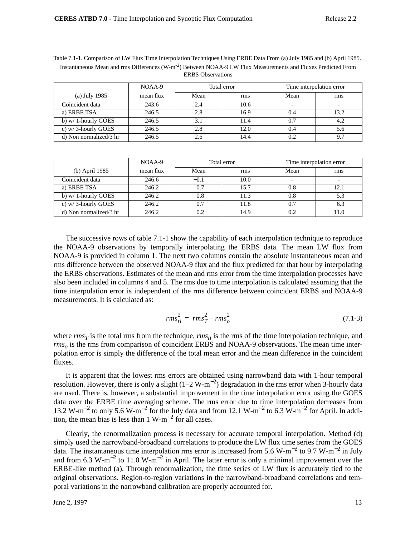|                        | NOAA-9    | Total error |      | Time interpolation error |      |  |
|------------------------|-----------|-------------|------|--------------------------|------|--|
| (a) July 1985          | mean flux | Mean        | rms  | Mean                     | rms  |  |
| Coincident data        | 243.6     | 2.4         | 10.6 |                          |      |  |
| a) ERBE TSA            | 246.5     | 2.8         | 16.9 | 0.4                      | 13.2 |  |
| b) $w/1$ -hourly GOES  | 246.5     |             | 11.4 | 0.7                      | 4.2  |  |
| c) w/3-hourly GOES     | 246.5     | 2.8         | 12.0 | 0.4                      | 5.6  |  |
| d) Non normalized/3 hr | 246.5     |             | 14.4 | 0.2                      | 9.7  |  |

Table 7.1-1. Comparison of LW Flux Time Interpolation Techniques Using ERBE Data From (a) July 1985 and (b) April 1985. Instantaneous Mean and rms Differences (W-m-2) Between NOAA-9 LW Flux Measurements and Fluxes Predicted From ERBS Observations

|                        | NOAA-9    | Total error |      |      | Time interpolation error |
|------------------------|-----------|-------------|------|------|--------------------------|
| (b) April 1985         | mean flux | Mean        | rms  | Mean | rms                      |
| Coincident data        | 246.6     | $-0.1$      | 10.0 |      |                          |
| a) ERBE TSA            | 246.2     | 0.7         | 15.7 | 0.8  | 12.1                     |
| b) $w/1$ -hourly GOES  | 246.2     | 0.8         | 11.3 | 0.8  | 5.3                      |
| c) $w/3$ -hourly GOES  | 246.2     | 0.7         | 11.8 | 0.7  | 6.3                      |
| d) Non normalized/3 hr | 246.2     | 0.2         | 14.9 | 0.2  | 11.0                     |

The successive rows of table 7.1-1 show the capability of each interpolation technique to reproduce the NOAA-9 observations by temporally interpolating the ERBS data. The mean LW flux from NOAA-9 is provided in column 1. The next two columns contain the absolute instantaneous mean and rms difference between the observed NOAA-9 flux and the flux predicted for that hour by interpolating the ERBS observations. Estimates of the mean and rms error from the time interpolation processes have also been included in columns 4 and 5. The rms due to time interpolation is calculated assuming that the time interpolation error is independent of the rms difference between coincident ERBS and NOAA-9 measurements. It is calculated as:

$$
rms_{ti}^{2} = rms_{T}^{2} - rms_{o}^{2}
$$
 (7.1-3)

where  $rms<sub>T</sub>$  is the total rms from the technique,  $rms<sub>ti</sub>$  is the rms of the time interpolation technique, and  $rms<sub>o</sub>$  is the rms from comparison of coincident ERBS and NOAA-9 observations. The mean time interpolation error is simply the difference of the total mean error and the mean difference in the coincident fluxes.

It is apparent that the lowest rms errors are obtained using narrowband data with 1-hour temporal resolution. However, there is only a slight  $(1-2 \text{ W-m}^{-2})$  degradation in the rms error when 3-hourly data are used. There is, however, a substantial improvement in the time interpolation error using the GOES data over the ERBE time averaging scheme. The rms error due to time interpolation decreases from 13.2 W-m<sup>-2</sup> to only 5.6 W-m<sup>-2</sup> for the July data and from 12.1 W-m<sup>-2</sup> to 6.3 W-m<sup>-2</sup> for April. In addition, the mean bias is less than 1 W-m<sup>-2</sup> for all cases.

Clearly, the renormalization process is necessary for accurate temporal interpolation. Method (d) simply used the narrowband-broadband correlations to produce the LW flux time series from the GOES data. The instantaneous time interpolation rms error is increased from 5.6 W-m<sup>-2</sup> to 9.7 W-m<sup>-2</sup> in July and from 6.3 W-m<sup>-2</sup> to 11.0 W-m<sup>-2</sup> in April. The latter error is only a minimal improvement over the ERBE-like method (a). Through renormalization, the time series of LW flux is accurately tied to the original observations. Region-to-region variations in the narrowband-broadband correlations and temporal variations in the narrowband calibration are properly accounted for.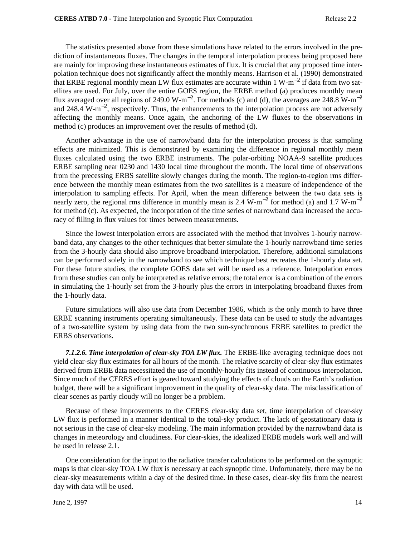The statistics presented above from these simulations have related to the errors involved in the prediction of instantaneous fluxes. The changes in the temporal interpolation process being proposed here are mainly for improving these instantaneous estimates of flux. It is crucial that any proposed time interpolation technique does not significantly affect the monthly means. Harrison et al. (1990) demonstrated that ERBE regional monthly mean LW flux estimates are accurate within 1 W-m−<sup>2</sup> if data from two satellites are used. For July, over the entire GOES region, the ERBE method (a) produces monthly mean flux averaged over all regions of 249.0 W-m<sup>-2</sup>. For methods (c) and (d), the averages are 248.8 W-m<sup>-2</sup> and 248.4 W-m<sup>-2</sup>, respectively. Thus, the enhancements to the interpolation process are not adversely affecting the monthly means. Once again, the anchoring of the LW fluxes to the observations in method (c) produces an improvement over the results of method (d).

Another advantage in the use of narrowband data for the interpolation process is that sampling effects are minimized. This is demonstrated by examining the difference in regional monthly mean fluxes calculated using the two ERBE instruments. The polar-orbiting NOAA-9 satellite produces ERBE sampling near 0230 and 1430 local time throughout the month. The local time of observations from the precessing ERBS satellite slowly changes during the month. The region-to-region rms difference between the monthly mean estimates from the two satellites is a measure of independence of the interpolation to sampling effects. For April, when the mean difference between the two data sets is nearly zero, the regional rms difference in monthly mean is 2.4 W-m<sup>-2</sup> for method (a) and 1.7 W-m<sup>-2</sup> for method (c). As expected, the incorporation of the time series of narrowband data increased the accuracy of filling in flux values for times between measurements.

Since the lowest interpolation errors are associated with the method that involves 1-hourly narrowband data, any changes to the other techniques that better simulate the 1-hourly narrowband time series from the 3-hourly data should also improve broadband interpolation. Therefore, additional simulations can be performed solely in the narrowband to see which technique best recreates the 1-hourly data set. For these future studies, the complete GOES data set will be used as a reference. Interpolation errors from these studies can only be interpreted as relative errors; the total error is a combination of the errors in simulating the 1-hourly set from the 3-hourly plus the errors in interpolating broadband fluxes from the 1-hourly data.

Future simulations will also use data from December 1986, which is the only month to have three ERBE scanning instruments operating simultaneously. These data can be used to study the advantages of a two-satellite system by using data from the two sun-synchronous ERBE satellites to predict the ERBS observations.

*7.1.2.6. Time interpolation of clear-sky TOA LW flux.* The ERBE-like averaging technique does not yield clear-sky flux estimates for all hours of the month. The relative scarcity of clear-sky flux estimates derived from ERBE data necessitated the use of monthly-hourly fits instead of continuous interpolation. Since much of the CERES effort is geared toward studying the effects of clouds on the Earth's radiation budget, there will be a significant improvement in the quality of clear-sky data. The misclassification of clear scenes as partly cloudy will no longer be a problem.

Because of these improvements to the CERES clear-sky data set, time interpolation of clear-sky LW flux is performed in a manner identical to the total-sky product. The lack of geostationary data is not serious in the case of clear-sky modeling. The main information provided by the narrowband data is changes in meteorology and cloudiness. For clear-skies, the idealized ERBE models work well and will be used in release 2.1.

One consideration for the input to the radiative transfer calculations to be performed on the synoptic maps is that clear-sky TOA LW flux is necessary at each synoptic time. Unfortunately, there may be no clear-sky measurements within a day of the desired time. In these cases, clear-sky fits from the nearest day with data will be used.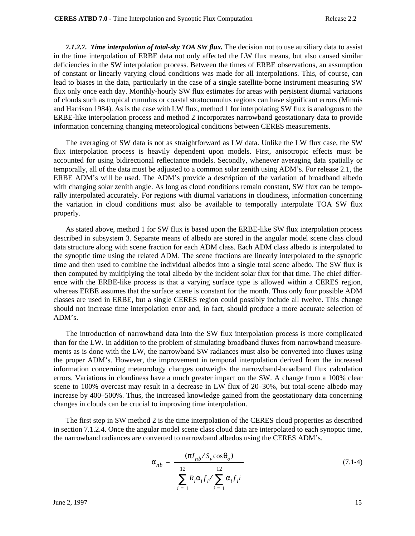*7.1.2.7. Time interpolation of total-sky TOA SW flux.* The decision not to use auxiliary data to assist in the time interpolation of ERBE data not only affected the LW flux means, but also caused similar deficiencies in the SW interpolation process. Between the times of ERBE observations, an assumption of constant or linearly varying cloud conditions was made for all interpolations. This, of course, can lead to biases in the data, particularly in the case of a single satellite-borne instrument measuring SW flux only once each day. Monthly-hourly SW flux estimates for areas with persistent diurnal variations of clouds such as tropical cumulus or coastal stratocumulus regions can have significant errors (Minnis and Harrison 1984). As is the case with LW flux, method 1 for interpolating SW flux is analogous to the ERBE-like interpolation process and method 2 incorporates narrowband geostationary data to provide information concerning changing meteorological conditions between CERES measurements.

The averaging of SW data is not as straightforward as LW data. Unlike the LW flux case, the SW flux interpolation process is heavily dependent upon models. First, anisotropic effects must be accounted for using bidirectional reflectance models. Secondly, whenever averaging data spatially or temporally, all of the data must be adjusted to a common solar zenith using ADM's. For release 2.1, the ERBE ADM's will be used. The ADM's provide a description of the variation of broadband albedo with changing solar zenith angle. As long as cloud conditions remain constant, SW flux can be temporally interpolated accurately. For regions with diurnal variations in cloudiness, information concerning the variation in cloud conditions must also be available to temporally interpolate TOA SW flux properly.

As stated above, method 1 for SW flux is based upon the ERBE-like SW flux interpolation process described in subsystem 3. Separate means of albedo are stored in the angular model scene class cloud data structure along with scene fraction for each ADM class. Each ADM class albedo is interpolated to the synoptic time using the related ADM. The scene fractions are linearly interpolated to the synoptic time and then used to combine the individual albedos into a single total scene albedo. The SW flux is then computed by multiplying the total albedo by the incident solar flux for that time. The chief difference with the ERBE-like process is that a varying surface type is allowed within a CERES region, whereas ERBE assumes that the surface scene is constant for the month. Thus only four possible ADM classes are used in ERBE, but a single CERES region could possibly include all twelve. This change should not increase time interpolation error and, in fact, should produce a more accurate selection of ADM's.

The introduction of narrowband data into the SW flux interpolation process is more complicated than for the LW. In addition to the problem of simulating broadband fluxes from narrowband measurements as is done with the LW, the narrowband SW radiances must also be converted into fluxes using the proper ADM's. However, the improvement in temporal interpolation derived from the increased information concerning meteorology changes outweighs the narrowband-broadband flux calculation errors. Variations in cloudiness have a much greater impact on the SW. A change from a 100% clear scene to 100% overcast may result in a decrease in LW flux of 20–30%, but total-scene albedo may increase by 400–500%. Thus, the increased knowledge gained from the geostationary data concerning changes in clouds can be crucial to improving time interpolation.

The first step in SW method 2 is the time interpolation of the CERES cloud properties as described in section 7.1.2.4. Once the angular model scene class cloud data are interpolated to each synoptic time, the narrowband radiances are converted to narrowband albedos using the CERES ADM's.

$$
\alpha_{nb} = \frac{(\pi I_{nb} / S_v \cos \theta_o)}{\left(\sum_{i=1}^{12} R_i \alpha_i f_i / \sum_{i=1}^{12} \alpha_i f_i i\right)}
$$
(7.1-4)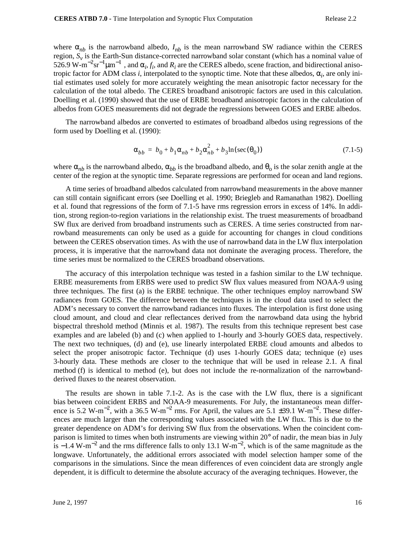where  $\alpha_{nb}$  is the narrowband albedo,  $I_{nb}$  is the mean narrowband SW radiance within the CERES region,  $S_v$  is the Earth-Sun distance-corrected narrowband solar constant (which has a nominal value of 526.9 W-m<sup>-2</sup>sr<sup>-1</sup> $\mu$ m<sup>-1</sup>, and  $\alpha_i$ , *f<sub>i</sub>*, and *R<sub>i</sub>* are the CERES albedo, scene fraction, and bidirectional anisotropic factor for ADM class  $i$ , interpolated to the synoptic time. Note that these albedos,  $\alpha_i$ , are only initial estimates used solely for more accurately weighting the mean anisotropic factor necessary for the calculation of the total albedo. The CERES broadband anisotropic factors are used in this calculation. Doelling et al. (1990) showed that the use of ERBE broadband anisotropic factors in the calculation of albedos from GOES measurements did not degrade the regressions between GOES and ERBE albedos.

The narrowband albedos are converted to estimates of broadband albedos using regressions of the form used by Doelling et al. (1990):

$$
\alpha_{bb} = b_0 + b_1 \alpha_{nb} + b_2 \alpha_{nb}^2 + b_3 \ln(\sec(\theta_0))
$$
\n(7.1-5)

where  $\alpha_{nb}$  is the narrowband albedo,  $\alpha_{bb}$  is the broadband albedo, and  $\theta_0$  is the solar zenith angle at the center of the region at the synoptic time. Separate regressions are performed for ocean and land regions.

A time series of broadband albedos calculated from narrowband measurements in the above manner can still contain significant errors (see Doelling et al. 1990; Briegleb and Ramanathan 1982). Doelling et al. found that regressions of the form of 7.1-5 have rms regression errors in excess of 14%. In addition, strong region-to-region variations in the relationship exist. The truest measurements of broadband SW flux are derived from broadband instruments such as CERES. A time series constructed from narrowband measurements can only be used as a guide for accounting for changes in cloud conditions between the CERES observation times. As with the use of narrowband data in the LW flux interpolation process, it is imperative that the narrowband data not dominate the averaging process. Therefore, the time series must be normalized to the CERES broadband observations.

The accuracy of this interpolation technique was tested in a fashion similar to the LW technique. ERBE measurements from ERBS were used to predict SW flux values measured from NOAA-9 using three techniques. The first (a) is the ERBE technique. The other techniques employ narrowband SW radiances from GOES. The difference between the techniques is in the cloud data used to select the ADM's necessary to convert the narrowband radiances into fluxes. The interpolation is first done using cloud amount, and cloud and clear reflectances derived from the narrowband data using the hybrid bispectral threshold method (Minnis et al. 1987). The results from this technique represent best case examples and are labeled (b) and (c) when applied to 1-hourly and 3-hourly GOES data, respectively. The next two techniques, (d) and (e), use linearly interpolated ERBE cloud amounts and albedos to select the proper anisotropic factor. Technique (d) uses 1-hourly GOES data; technique (e) uses 3-hourly data. These methods are closer to the technique that will be used in release 2.1. A final method (f) is identical to method (e), but does not include the re-normalization of the narrowbandderived fluxes to the nearest observation.

The results are shown in table 7.1-2. As is the case with the LW flux, there is a significant bias between coincident ERBS and NOAA-9 measurements. For July, the instantaneous mean difference is 5.2 W-m<sup>-2</sup>, with a 36.5 W-m<sup>-2</sup> rms. For April, the values are 5.1 ±39.1 W-m<sup>-2</sup>. These differences are much larger than the corresponding values associated with the LW flux. This is due to the greater dependence on ADM's for deriving SW flux from the observations. When the coincident comparison is limited to times when both instruments are viewing within 20° of nadir, the mean bias in July is –1.4 W-m<sup>-2</sup> and the rms difference falls to only 13.1 W-m<sup>-2</sup>, which is of the same magnitude as the longwave. Unfortunately, the additional errors associated with model selection hamper some of the comparisons in the simulations. Since the mean differences of even coincident data are strongly angle dependent, it is difficult to determine the absolute accuracy of the averaging techniques. However, the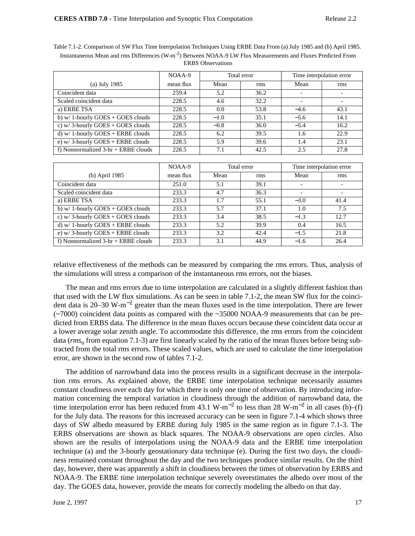Table 7.1-2. Comparison of SW Flux Time Interpolation Techniques Using ERBE Data From (a) July 1985 and (b) April 1985. Instantaneous Mean and rms Differences (W-m-2) Between NOAA-9 LW Flux Measurements and Fluxes Predicted From ERBS Observations

|                                       | NOAA-9    | Total error |      |        | Time interpolation error |
|---------------------------------------|-----------|-------------|------|--------|--------------------------|
| $(a)$ July 1985                       | mean flux | Mean        | rms  | Mean   | rms                      |
| Coincident data                       | 259.4     | 5.2         | 36.2 |        |                          |
| Scaled coincident data                | 228.5     | 4.6         | 32.2 |        |                          |
| a) ERBE TSA                           | 228.5     | 0.0         | 53.8 | $-4.6$ | 43.1                     |
| b) $w/1$ -hourly GOES + GOES clouds   | 228.5     | $-1.0$      | 35.1 | $-5.6$ | 14.1                     |
| c) $w/3$ -hourly GOES + GOES clouds   | 228.5     | $-0.8$      | 36.0 | $-5.4$ | 16.2                     |
| d) w/ 1-hourly $GOES + ERBE$ clouds   | 228.5     | 6.2         | 39.5 | 1.6    | 22.9                     |
| e) $w/3$ -hourly GOES + ERBE clouds   | 228.5     | 5.9         | 39.6 | 1.4    | 23.1                     |
| f) Nonnormalized $3-hr + ERBE$ clouds | 228.5     | 7.1         | 42.5 | 2.5    | 27.8                     |

|                                       | NOAA-9    | Total error |      |                          | Time interpolation error |
|---------------------------------------|-----------|-------------|------|--------------------------|--------------------------|
| (b) April 1985                        | mean flux | Mean        | rms  | Mean                     | rms                      |
| Coincident data                       | 251.0     | 5.1         | 39.1 | $\overline{\phantom{0}}$ |                          |
| Scaled coincident data                | 233.3     | 4.7         | 36.3 |                          |                          |
| a) ERBE TSA                           | 233.3     | 1.7         | 55.1 | $-3.0$                   | 41.4                     |
| b) $w/1$ -hourly GOES + GOES clouds   | 233.3     | 5.7         | 37.1 | 1.0                      | 7.5                      |
| c) w/3-hourly GOES + GOES clouds      | 233.3     | 3.4         | 38.5 | $-1.3$                   | 12.7                     |
| d) w/ 1-hourly $GOES + ERBE$ clouds   | 233.3     | 5.2         | 39.9 | 0.4                      | 16.5                     |
| e) w/3-hourly $GOES + ERBE$ clouds    | 233.3     | 3.2         | 42.4 | $-1.5$                   | 21.8                     |
| f) Nonnormalized $3-hr + ERBE$ clouds | 233.3     | 3.1         | 44.9 | $-1.6$                   | 26.4                     |

relative effectiveness of the methods can be measured by comparing the rms errors. Thus, analysis of the simulations will stress a comparison of the instantaneous rms errors, not the biases.

The mean and rms errors due to time interpolation are calculated in a slightly different fashion than that used with the LW flux simulations. As can be seen in table 7.1-2, the mean SW flux for the coincident data is 20–30 W-m<sup>-2</sup> greater than the mean fluxes used in the time interpolation. There are fewer (~7000) coincident data points as compared with the ~35000 NOAA-9 measurements that can be predicted from ERBS data. The difference in the mean fluxes occurs because these coincident data occur at a lower average solar zenith angle. To accommodate this difference, the rms errors from the coincident data (*rms*<sub>o</sub> from equation 7.1-3) are first linearly scaled by the ratio of the mean fluxes before being subtracted from the total rms errors. These scaled values, which are used to calculate the time interpolation error, are shown in the second row of tables 7.1-2.

The addition of narrowband data into the process results in a significant decrease in the interpolation rms errors. As explained above, the ERBE time interpolation technique necessarily assumes constant cloudiness over each day for which there is only one time of observation. By introducing information concerning the temporal variation in cloudiness through the addition of narrowband data, the time interpolation error has been reduced from 43.1 W-m<sup>-2</sup> to less than 28 W-m<sup>-2</sup> in all cases (b)–(f) for the July data. The reasons for this increased accuracy can be seen in figure 7.1-4 which shows three days of SW albedo measured by ERBE during July 1985 in the same region as in figure 7.1-3. The ERBS observations are shown as black squares. The NOAA-9 observations are open circles. Also shown are the results of interpolations using the NOAA-9 data and the ERBE time interpolation technique (a) and the 3-hourly geostationary data technique (e). During the first two days, the cloudiness remained constant throughout the day and the two techniques produce similar results. On the third day, however, there was apparently a shift in cloudiness between the times of observation by ERBS and NOAA-9. The ERBE time interpolation technique severely overestimates the albedo over most of the day. The GOES data, however, provide the means for correctly modeling the albedo on that day.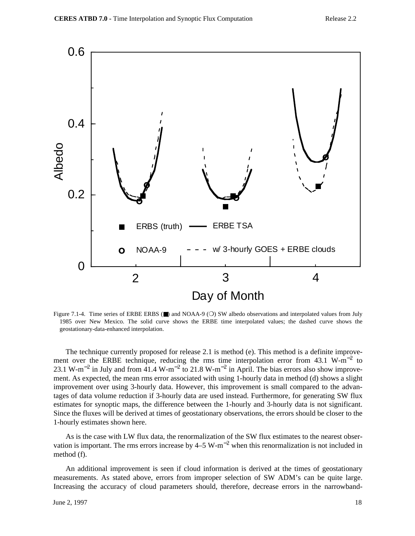

Figure 7.1-4. Time series of ERBE ERBS (■) and NOAA-9 (○) SW albedo observations and interpolated values from July 1985 over New Mexico. The solid curve shows the ERBE time interpolated values; the dashed curve shows the geostationary-data-enhanced interpolation.

The technique currently proposed for release 2.1 is method (e). This method is a definite improvement over the ERBE technique, reducing the rms time interpolation error from 43.1 W-m<sup>-2</sup> to 23.1 W-m<sup>-2</sup> in July and from  $41.4$  W-m<sup>-2</sup> to 21.8 W-m<sup>-2</sup> in April. The bias errors also show improvement. As expected, the mean rms error associated with using 1-hourly data in method (d) shows a slight improvement over using 3-hourly data. However, this improvement is small compared to the advantages of data volume reduction if 3-hourly data are used instead. Furthermore, for generating SW flux estimates for synoptic maps, the difference between the 1-hourly and 3-hourly data is not significant. Since the fluxes will be derived at times of geostationary observations, the errors should be closer to the 1-hourly estimates shown here.

As is the case with LW flux data, the renormalization of the SW flux estimates to the nearest observation is important. The rms errors increase by  $4-5 \text{ W-m}^{-2}$  when this renormalization is not included in method (f).

An additional improvement is seen if cloud information is derived at the times of geostationary measurements. As stated above, errors from improper selection of SW ADM's can be quite large. Increasing the accuracy of cloud parameters should, therefore, decrease errors in the narrowband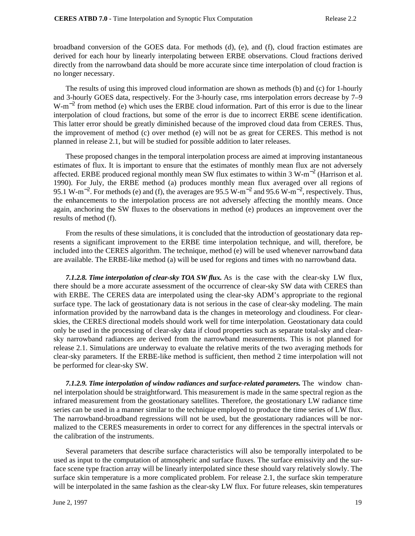broadband conversion of the GOES data. For methods (d), (e), and (f), cloud fraction estimates are derived for each hour by linearly interpolating between ERBE observations. Cloud fractions derived directly from the narrowband data should be more accurate since time interpolation of cloud fraction is no longer necessary.

The results of using this improved cloud information are shown as methods (b) and (c) for 1-hourly and 3-hourly GOES data, respectively. For the 3-hourly case, rms interpolation errors decrease by 7–9 W-m<sup>-2</sup> from method (e) which uses the ERBE cloud information. Part of this error is due to the linear interpolation of cloud fractions, but some of the error is due to incorrect ERBE scene identification. This latter error should be greatly diminished because of the improved cloud data from CERES. Thus, the improvement of method (c) over method (e) will not be as great for CERES. This method is not planned in release 2.1, but will be studied for possible addition to later releases.

These proposed changes in the temporal interpolation process are aimed at improving instantaneous estimates of flux. It is important to ensure that the estimates of monthly mean flux are not adversely affected. ERBE produced regional monthly mean SW flux estimates to within 3 W-m−<sup>2</sup> (Harrison et al. 1990). For July, the ERBE method (a) produces monthly mean flux averaged over all regions of 95.1 W-m<sup>-2</sup>. For methods (e) and (f), the averages are 95.5 W-m<sup>-2</sup> and 95.6 W-m<sup>-2</sup>, respectively. Thus, the enhancements to the interpolation process are not adversely affecting the monthly means. Once again, anchoring the SW fluxes to the observations in method (e) produces an improvement over the results of method (f).

From the results of these simulations, it is concluded that the introduction of geostationary data represents a significant improvement to the ERBE time interpolation technique, and will, therefore, be included into the CERES algorithm. The technique, method (e) will be used whenever narrowband data are available. The ERBE-like method (a) will be used for regions and times with no narrowband data.

*7.1.2.8. Time interpolation of clear-sky TOA SW flux.* As is the case with the clear-sky LW flux, there should be a more accurate assessment of the occurrence of clear-sky SW data with CERES than with ERBE. The CERES data are interpolated using the clear-sky ADM's appropriate to the regional surface type. The lack of geostationary data is not serious in the case of clear-sky modeling. The main information provided by the narrowband data is the changes in meteorology and cloudiness. For clearskies, the CERES directional models should work well for time interpolation. Geostationary data could only be used in the processing of clear-sky data if cloud properties such as separate total-sky and clearsky narrowband radiances are derived from the narrowband measurements. This is not planned for release 2.1. Simulations are underway to evaluate the relative merits of the two averaging methods for clear-sky parameters. If the ERBE-like method is sufficient, then method 2 time interpolation will not be performed for clear-sky SW.

*7.1.2.9. Time interpolation of window radiances and surface-related parameters.* The window channel interpolation should be straightforward. This measurement is made in the same spectral region as the infrared measurement from the geostationary satellites. Therefore, the geostationary LW radiance time series can be used in a manner similar to the technique employed to produce the time series of LW flux. The narrowband-broadband regressions will not be used, but the geostationary radiances will be normalized to the CERES measurements in order to correct for any differences in the spectral intervals or the calibration of the instruments.

Several parameters that describe surface characteristics will also be temporally interpolated to be used as input to the computation of atmospheric and surface fluxes. The surface emissivity and the surface scene type fraction array will be linearly interpolated since these should vary relatively slowly. The surface skin temperature is a more complicated problem. For release 2.1, the surface skin temperature will be interpolated in the same fashion as the clear-sky LW flux. For future releases, skin temperatures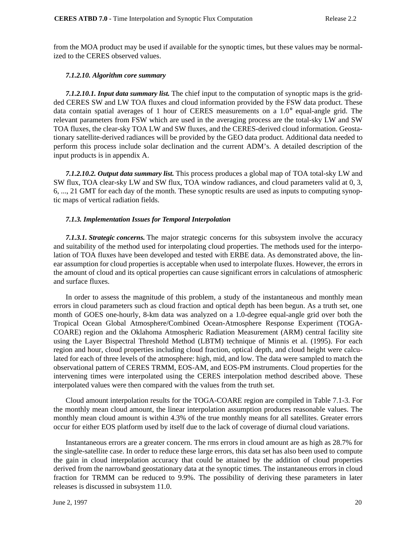from the MOA product may be used if available for the synoptic times, but these values may be normalized to the CERES observed values.

### *7.1.2.10. Algorithm core summary*

*7.1.2.10.1. Input data summary list.* The chief input to the computation of synoptic maps is the gridded CERES SW and LW TOA fluxes and cloud information provided by the FSW data product. These data contain spatial averages of 1 hour of CERES measurements on a 1.0° equal-angle grid. The relevant parameters from FSW which are used in the averaging process are the total-sky LW and SW TOA fluxes, the clear-sky TOA LW and SW fluxes, and the CERES-derived cloud information. Geostationary satellite-derived radiances will be provided by the GEO data product. Additional data needed to perform this process include solar declination and the current ADM's. A detailed description of the input products is in appendix A.

*7.1.2.10.2. Output data summary list.* This process produces a global map of TOA total-sky LW and SW flux, TOA clear-sky LW and SW flux, TOA window radiances, and cloud parameters valid at 0, 3, 6, ..., 21 GMT for each day of the month. These synoptic results are used as inputs to computing synoptic maps of vertical radiation fields.

### *7.1.3. Implementation Issues for Temporal Interpolation*

*7.1.3.1. Strategic concerns.* The major strategic concerns for this subsystem involve the accuracy and suitability of the method used for interpolating cloud properties. The methods used for the interpolation of TOA fluxes have been developed and tested with ERBE data. As demonstrated above, the linear assumption for cloud properties is acceptable when used to interpolate fluxes. However, the errors in the amount of cloud and its optical properties can cause significant errors in calculations of atmospheric and surface fluxes.

In order to assess the magnitude of this problem, a study of the instantaneous and monthly mean errors in cloud parameters such as cloud fraction and optical depth has been begun. As a truth set, one month of GOES one-hourly, 8-km data was analyzed on a 1.0-degree equal-angle grid over both the Tropical Ocean Global Atmosphere/Combined Ocean-Atmosphere Response Experiment (TOGA-COARE) region and the Oklahoma Atmospheric Radiation Measurement (ARM) central facility site using the Layer Bispectral Threshold Method (LBTM) technique of Minnis et al. (1995). For each region and hour, cloud properties including cloud fraction, optical depth, and cloud height were calculated for each of three levels of the atmosphere: high, mid, and low. The data were sampled to match the observational pattern of CERES TRMM, EOS-AM, and EOS-PM instruments. Cloud properties for the intervening times were interpolated using the CERES interpolation method described above. These interpolated values were then compared with the values from the truth set.

Cloud amount interpolation results for the TOGA-COARE region are compiled in Table 7.1-3. For the monthly mean cloud amount, the linear interpolation assumption produces reasonable values. The monthly mean cloud amount is within 4.3% of the true monthly means for all satellites. Greater errors occur for either EOS platform used by itself due to the lack of coverage of diurnal cloud variations.

Instantaneous errors are a greater concern. The rms errors in cloud amount are as high as 28.7% for the single-satellite case. In order to reduce these large errors, this data set has also been used to compute the gain in cloud interpolation accuracy that could be attained by the addition of cloud properties derived from the narrowband geostationary data at the synoptic times. The instantaneous errors in cloud fraction for TRMM can be reduced to 9.9%. The possibility of deriving these parameters in later releases is discussed in subsystem 11.0.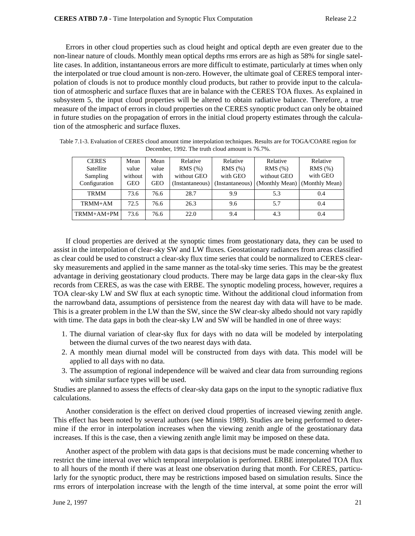Errors in other cloud properties such as cloud height and optical depth are even greater due to the non-linear nature of clouds. Monthly mean optical depths rms errors are as high as 58% for single satellite cases. In addition, instantaneous errors are more difficult to estimate, particularly at times when only the interpolated or true cloud amount is non-zero. However, the ultimate goal of CERES temporal interpolation of clouds is not to produce monthly cloud products, but rather to provide input to the calculation of atmospheric and surface fluxes that are in balance with the CERES TOA fluxes. As explained in subsystem 5, the input cloud properties will be altered to obtain radiative balance. Therefore, a true measure of the impact of errors in cloud properties on the CERES synoptic product can only be obtained in future studies on the propagation of errors in the initial cloud property estimates through the calculation of the atmospheric and surface fluxes.

| <b>CERES</b>  | Mean       | Mean  | Relative        | Relative        | Relative       | Relative       |
|---------------|------------|-------|-----------------|-----------------|----------------|----------------|
| Satellite     | value      | value | RMS(%)          | RMS(%)          | RMS(%)         | RMS(%)         |
| Sampling      | without    | with  | without GEO     | with GEO        | without GEO    | with GEO       |
| Configuration | <b>GEO</b> | GEO   | (Instantaneous) | (Instantaneous) | (Monthly Mean) | (Monthly Mean) |
| <b>TRMM</b>   | 73.6       | 76.6  | 28.7            | 9.9             | 5.3            | 0.4            |
| TRMM+AM       | 72.5       | 76.6  | 26.3            | 9.6             | 5.7            | 0.4            |
| $TRMM+AM+PM$  | 73.6       | 76.6  | 22.0            | 9.4             | 4.3            | 0.4            |

Table 7.1-3. Evaluation of CERES cloud amount time interpolation techniques. Results are for TOGA/COARE region for December, 1992. The truth cloud amount is 76.7%.

If cloud properties are derived at the synoptic times from geostationary data, they can be used to assist in the interpolation of clear-sky SW and LW fluxes. Geostationary radiances from areas classified as clear could be used to construct a clear-sky flux time series that could be normalized to CERES clearsky measurements and applied in the same manner as the total-sky time series. This may be the greatest advantage in deriving geostationary cloud products. There may be large data gaps in the clear-sky flux records from CERES, as was the case with ERBE. The synoptic modeling process, however, requires a TOA clear-sky LW and SW flux at each synoptic time. Without the additional cloud information from the narrowband data, assumptions of persistence from the nearest day with data will have to be made. This is a greater problem in the LW than the SW, since the SW clear-sky albedo should not vary rapidly with time. The data gaps in both the clear-sky LW and SW will be handled in one of three ways:

- 1. The diurnal variation of clear-sky flux for days with no data will be modeled by interpolating between the diurnal curves of the two nearest days with data.
- 2. A monthly mean diurnal model will be constructed from days with data. This model will be applied to all days with no data.
- 3. The assumption of regional independence will be waived and clear data from surrounding regions with similar surface types will be used.

Studies are planned to assess the effects of clear-sky data gaps on the input to the synoptic radiative flux calculations.

Another consideration is the effect on derived cloud properties of increased viewing zenith angle. This effect has been noted by several authors (see Minnis 1989). Studies are being performed to determine if the error in interpolation increases when the viewing zenith angle of the geostationary data increases. If this is the case, then a viewing zenith angle limit may be imposed on these data.

Another aspect of the problem with data gaps is that decisions must be made concerning whether to restrict the time interval over which temporal interpolation is performed. ERBE interpolated TOA flux to all hours of the month if there was at least one observation during that month. For CERES, particularly for the synoptic product, there may be restrictions imposed based on simulation results. Since the rms errors of interpolation increase with the length of the time interval, at some point the error will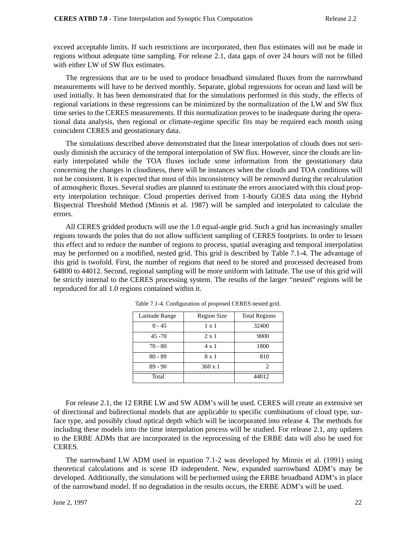exceed acceptable limits. If such restrictions are incorporated, then flux estimates will not be made in regions without adequate time sampling. For release 2.1, data gaps of over 24 hours will not be filled with either LW of SW flux estimates.

The regressions that are to be used to produce broadband simulated fluxes from the narrowband measurements will have to be derived monthly. Separate, global regressions for ocean and land will be used initially. It has been demonstrated that for the simulations performed in this study, the effects of regional variations in these regressions can be minimized by the normalization of the LW and SW flux time series to the CERES measurements. If this normalization proves to be inadequate during the operational data analysis, then regional or climate-regime specific fits may be required each month using coincident CERES and geostationary data.

The simulations described above demonstrated that the linear interpolation of clouds does not seriously diminish the accuracy of the temporal interpolation of SW flux. However, since the clouds are linearly interpolated while the TOA fluxes include some information from the geostationary data concerning the changes in cloudiness, there will be instances when the clouds and TOA conditions will not be consistent. It is expected that most of this inconsistency will be removed during the recalculation of atmospheric fluxes. Several studies are planned to estimate the errors associated with this cloud property interpolation technique. Cloud properties derived from 1-hourly GOES data using the Hybrid Bispectral Threshold Method (Minnis et al. 1987) will be sampled and interpolated to calculate the errors.

All CERES gridded products will use the 1.0 equal-angle grid. Such a grid has increasingly smaller regions towards the poles that do not allow sufficient sampling of CERES footprints. In order to lessen this effect and to reduce the number of regions to process, spatial averaging and temporal interpolation may be performed on a modified, nested grid. This grid is described by Table 7.1-4. The advantage of this grid is twofold. First, the number of regions that need to be stored and processed decreased from 64800 to 44012. Second, regional sampling will be more uniform with latitude. The use of this grid will be strictly internal to the CERES processing system. The results of the larger "nested" regions will be reproduced for all 1.0 regions contained within it.

| Latitude Range | <b>Region Size</b> | <b>Total Regions</b> |
|----------------|--------------------|----------------------|
| $0 - 45$       | $1 \times 1$       | 32400                |
| $45 - 70$      | $2 \times 1$       | 9000                 |
| $70 - 80$      | $4 \times 1$       | 1800                 |
| $80 - 89$      | 8 x 1              | 810                  |
| $89 - 90$      | $360 \times 1$     |                      |
| Total          |                    | 44012                |

Table 7.1-4. Configuration of proposed CERES nested grid.

For release 2.1, the 12 ERBE LW and SW ADM's will be used. CERES will create an extensive set of directional and bidirectional models that are applicable to specific combinations of cloud type, surface type, and possibly cloud optical depth which will be incorporated into release 4. The methods for including these models into the time interpolation process will be studied. For release 2.1, any updates to the ERBE ADMs that are incorporated in the reprocessing of the ERBE data will also be used for CERES.

The narrowband LW ADM used in equation 7.1-2 was developed by Minnis et al. (1991) using theoretical calculations and is scene ID independent. New, expanded narrowband ADM's may be developed. Additionally, the simulations will be performed using the ERBE broadband ADM's in place of the narrowband model. If no degradation in the results occurs, the ERBE ADM's will be used.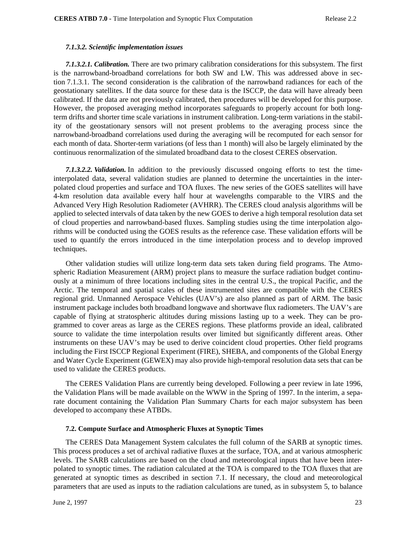### *7.1.3.2. Scientific implementation issues*

*7.1.3.2.1. Calibration.* There are two primary calibration considerations for this subsystem. The first is the narrowband-broadband correlations for both SW and LW. This was addressed above in section 7.1.3.1. The second consideration is the calibration of the narrowband radiances for each of the geostationary satellites. If the data source for these data is the ISCCP, the data will have already been calibrated. If the data are not previously calibrated, then procedures will be developed for this purpose. However, the proposed averaging method incorporates safeguards to properly account for both longterm drifts and shorter time scale variations in instrument calibration. Long-term variations in the stability of the geostationary sensors will not present problems to the averaging process since the narrowband-broadband correlations used during the averaging will be recomputed for each sensor for each month of data. Shorter-term variations (of less than 1 month) will also be largely eliminated by the continuous renormalization of the simulated broadband data to the closest CERES observation.

*7.1.3.2.2. Validation.* In addition to the previously discussed ongoing efforts to test the timeinterpolated data, several validation studies are planned to determine the uncertainties in the interpolated cloud properties and surface and TOA fluxes. The new series of the GOES satellites will have 4-km resolution data available every half hour at wavelengths comparable to the VIRS and the Advanced Very High Resolution Radiometer (AVHRR). The CERES cloud analysis algorithms will be applied to selected intervals of data taken by the new GOES to derive a high temporal resolution data set of cloud properties and narrowband-based fluxes. Sampling studies using the time interpolation algorithms will be conducted using the GOES results as the reference case. These validation efforts will be used to quantify the errors introduced in the time interpolation process and to develop improved techniques.

Other validation studies will utilize long-term data sets taken during field programs. The Atmospheric Radiation Measurement (ARM) project plans to measure the surface radiation budget continuously at a minimum of three locations including sites in the central U.S., the tropical Pacific, and the Arctic. The temporal and spatial scales of these instrumented sites are compatible with the CERES regional grid. Unmanned Aerospace Vehicles (UAV's) are also planned as part of ARM. The basic instrument package includes both broadband longwave and shortwave flux radiometers. The UAV's are capable of flying at stratospheric altitudes during missions lasting up to a week. They can be programmed to cover areas as large as the CERES regions. These platforms provide an ideal, calibrated source to validate the time interpolation results over limited but significantly different areas. Other instruments on these UAV's may be used to derive coincident cloud properties. Other field programs including the First ISCCP Regional Experiment (FIRE), SHEBA, and components of the Global Energy and Water Cycle Experiment (GEWEX) may also provide high-temporal resolution data sets that can be used to validate the CERES products.

The CERES Validation Plans are currently being developed. Following a peer review in late 1996, the Validation Plans will be made available on the WWW in the Spring of 1997. In the interim, a separate document containing the Validation Plan Summary Charts for each major subsystem has been developed to accompany these ATBDs.

### **7.2. Compute Surface and Atmospheric Fluxes at Synoptic Times**

The CERES Data Management System calculates the full column of the SARB at synoptic times. This process produces a set of archival radiative fluxes at the surface, TOA, and at various atmospheric levels. The SARB calculations are based on the cloud and meteorological inputs that have been interpolated to synoptic times. The radiation calculated at the TOA is compared to the TOA fluxes that are generated at synoptic times as described in section 7.1. If necessary, the cloud and meteorological parameters that are used as inputs to the radiation calculations are tuned, as in subsystem 5, to balance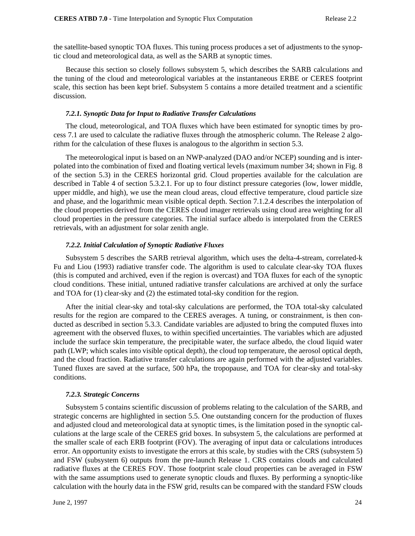the satellite-based synoptic TOA fluxes. This tuning process produces a set of adjustments to the synoptic cloud and meteorological data, as well as the SARB at synoptic times.

Because this section so closely follows subsystem 5, which describes the SARB calculations and the tuning of the cloud and meteorological variables at the instantaneous ERBE or CERES footprint scale, this section has been kept brief. Subsystem 5 contains a more detailed treatment and a scientific discussion.

### *7.2.1. Synoptic Data for Input to Radiative Transfer Calculations*

The cloud, meteorological, and TOA fluxes which have been estimated for synoptic times by process 7.1 are used to calculate the radiative fluxes through the atmospheric column. The Release 2 algorithm for the calculation of these fluxes is analogous to the algorithm in section 5.3.

The meteorological input is based on an NWP-analyzed (DAO and/or NCEP) sounding and is interpolated into the combination of fixed and floating vertical levels (maximum number 34; shown in Fig. 8 of the section 5.3) in the CERES horizontal grid. Cloud properties available for the calculation are described in Table 4 of section 5.3.2.1. For up to four distinct pressure categories (low, lower middle, upper middle, and high), we use the mean cloud areas, cloud effective temperature, cloud particle size and phase, and the logarithmic mean visible optical depth. Section 7.1.2.4 describes the interpolation of the cloud properties derived from the CERES cloud imager retrievals using cloud area weighting for all cloud properties in the pressure categories. The initial surface albedo is interpolated from the CERES retrievals, with an adjustment for solar zenith angle.

### *7.2.2. Initial Calculation of Synoptic Radiative Fluxes*

Subsystem 5 describes the SARB retrieval algorithm, which uses the delta-4-stream, correlated-k Fu and Liou (1993) radiative transfer code. The algorithm is used to calculate clear-sky TOA fluxes (this is computed and archived, even if the region is overcast) and TOA fluxes for each of the synoptic cloud conditions. These initial, untuned radiative transfer calculations are archived at only the surface and TOA for (1) clear-sky and (2) the estimated total-sky condition for the region.

After the initial clear-sky and total-sky calculations are performed, the TOA total-sky calculated results for the region are compared to the CERES averages. A tuning, or constrainment, is then conducted as described in section 5.3.3. Candidate variables are adjusted to bring the computed fluxes into agreement with the observed fluxes, to within specified uncertainties. The variables which are adjusted include the surface skin temperature, the precipitable water, the surface albedo, the cloud liquid water path (LWP; which scales into visible optical depth), the cloud top temperature, the aerosol optical depth, and the cloud fraction. Radiative transfer calculations are again performed with the adjusted variables. Tuned fluxes are saved at the surface, 500 hPa, the tropopause, and TOA for clear-sky and total-sky conditions.

#### *7.2.3. Strategic Concerns*

Subsystem 5 contains scientific discussion of problems relating to the calculation of the SARB, and strategic concerns are highlighted in section 5.5. One outstanding concern for the production of fluxes and adjusted cloud and meteorological data at synoptic times, is the limitation posed in the synoptic calculations at the large scale of the CERES grid boxes. In subsystem 5, the calculations are performed at the smaller scale of each ERB footprint (FOV). The averaging of input data or calculations introduces error. An opportunity exists to investigate the errors at this scale, by studies with the CRS (subsystem 5) and FSW (subsystem 6) outputs from the pre-launch Release 1. CRS contains clouds and calculated radiative fluxes at the CERES FOV. Those footprint scale cloud properties can be averaged in FSW with the same assumptions used to generate synoptic clouds and fluxes. By performing a synoptic-like calculation with the hourly data in the FSW grid, results can be compared with the standard FSW clouds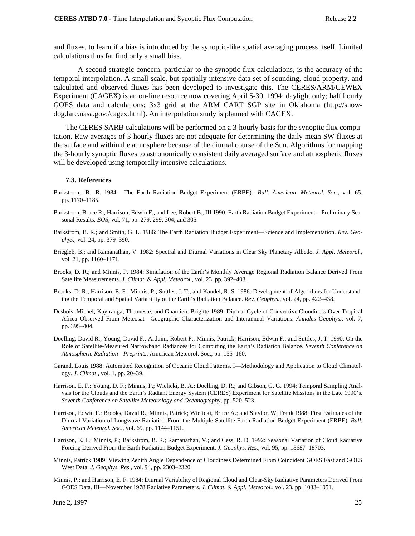and fluxes, to learn if a bias is introduced by the synoptic-like spatial averaging process itself. Limited calculations thus far find only a small bias.

 A second strategic concern, particular to the synoptic flux calculations, is the accuracy of the temporal interpolation. A small scale, but spatially intensive data set of sounding, cloud property, and calculated and observed fluxes has been developed to investigate this. The CERES/ARM/GEWEX Experiment (CAGEX) is an on-line resource now covering April 5-30, 1994; daylight only; half hourly GOES data and calculations; 3x3 grid at the ARM CART SGP site in Oklahoma (http://snowdog.larc.nasa.gov:/cagex.html). An interpolation study is planned with CAGEX.

The CERES SARB calculations will be performed on a 3-hourly basis for the synoptic flux computation. Raw averages of 3-hourly fluxes are not adequate for determining the daily mean SW fluxes at the surface and within the atmosphere because of the diurnal course of the Sun. Algorithms for mapping the 3-hourly synoptic fluxes to astronomically consistent daily averaged surface and atmospheric fluxes will be developed using temporally intensive calculations.

### **7.3. References**

- Barkstrom, B. R. 1984: The Earth Radiation Budget Experiment (ERBE). *Bull. American Meteorol. Soc.,* vol. 65, pp. 1170–1185.
- Barkstrom, Bruce R.; Harrison, Edwin F.; and Lee, Robert B., III 1990: Earth Radiation Budget Experiment—Preliminary Seasonal Results. *EOS,* vol. 71, pp. 279, 299, 304, and 305.
- Barkstrom, B. R.; and Smith, G. L. 1986: The Earth Radiation Budget Experiment—Science and Implementation. *Rev. Geophys.,* vol. 24, pp. 379–390.
- Briegleb, B.; and Ramanathan, V. 1982: Spectral and Diurnal Variations in Clear Sky Planetary Albedo. *J. Appl. Meteorol.*, vol. 21, pp. 1160–1171.
- Brooks, D. R.; and Minnis, P. 1984: Simulation of the Earth's Monthly Average Regional Radiation Balance Derived From Satellite Measurements. *J. Climat. & Appl. Meteorol*., vol. 23, pp. 392–403.
- Brooks, D. R.; Harrison, E. F.; Minnis, P.; Suttles, J. T.; and Kandel, R. S. 1986: Development of Algorithms for Understanding the Temporal and Spatial Variability of the Earth's Radiation Balance. *Rev. Geophys.*, vol. 24, pp. 422–438.
- Desbois, Michel; Kayiranga, Theoneste; and Gnamien, Brigitte 1989: Diurnal Cycle of Convective Cloudiness Over Tropical Africa Observed From Meteosat—Geographic Characterization and Interannual Variations. *Annales Geophys.*, vol. 7, pp. 395–404.
- Doelling, David R.; Young, David F.; Arduini, Robert F.; Minnis, Patrick; Harrison, Edwin F.; and Suttles, J. T. 1990: On the Role of Satellite-Measured Narrowband Radiances for Computing the Earth's Radiation Balance. *Seventh Conference on Atmospheric Radiation—Preprints*, American Meteorol. Soc., pp. 155–160.
- Garand, Louis 1988: Automated Recognition of Oceanic Cloud Patterns. I—Methodology and Application to Cloud Climatology. *J. Climat*., vol. 1, pp. 20–39.
- Harrison, E. F.; Young, D. F.; Minnis, P.; Wielicki, B. A.; Doelling, D. R.; and Gibson, G. G. 1994: Temporal Sampling Analysis for the Clouds and the Earth's Radiant Energy System (CERES) Experiment for Satellite Missions in the Late 1990's. *Seventh Conference on Satellite Meteorology and Oceanography*, pp. 520–523.
- Harrison, Edwin F.; Brooks, David R.; Minnis, Patrick; Wielicki, Bruce A.; and Staylor, W. Frank 1988: First Estimates of the Diurnal Variation of Longwave Radiation From the Multiple-Satellite Earth Radiation Budget Experiment (ERBE). *Bull. American Meteorol. Soc.*, vol. 69, pp. 1144–1151.
- Harrison, E. F.; Minnis, P.; Barkstrom, B. R.; Ramanathan, V.; and Cess, R. D. 1992: Seasonal Variation of Cloud Radiative Forcing Derived From the Earth Radiation Budget Experiment. *J. Geophys. Res.*, vol. 95, pp. 18687–18703.
- Minnis, Patrick 1989: Viewing Zenith Angle Dependence of Cloudiness Determined From Coincident GOES East and GOES West Data. *J. Geophys. Res*., vol. 94, pp. 2303–2320.
- Minnis, P.; and Harrison, E. F. 1984: Diurnal Variability of Regional Cloud and Clear-Sky Radiative Parameters Derived From GOES Data. III—November 1978 Radiative Parameters. *J. Climat. & Appl. Meteorol.*, vol. 23, pp. 1033–1051.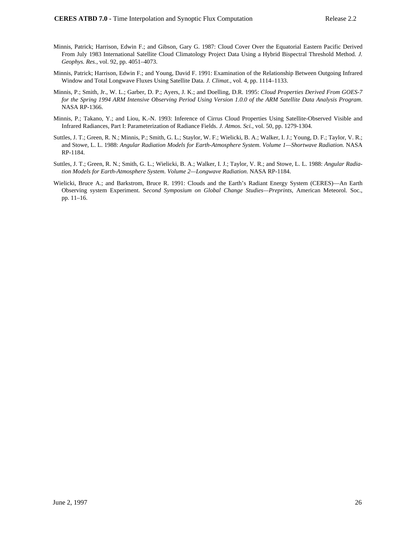- Minnis, Patrick; Harrison, Edwin F.; and Gibson, Gary G. 1987: Cloud Cover Over the Equatorial Eastern Pacific Derived From July 1983 International Satellite Cloud Climatology Project Data Using a Hybrid Bispectral Threshold Method. *J. Geophys. Res.*, vol. 92, pp. 4051–4073.
- Minnis, Patrick; Harrison, Edwin F.; and Young, David F. 1991: Examination of the Relationship Between Outgoing Infrared Window and Total Longwave Fluxes Using Satellite Data. *J. Climat.,* vol. 4, pp. 1114–1133.
- Minnis, P.; Smith, Jr., W. L.; Garber, D. P.; Ayers, J. K.; and Doelling, D.R. 1995: *Cloud Properties Derived From GOES-7 for the Spring 1994 ARM Intensive Observing Period Using Version 1.0.0 of the ARM Satellite Data Analysis Program*. NASA RP-1366.
- Minnis, P.; Takano, Y.; and Liou, K.-N. 1993: Inference of Cirrus Cloud Properties Using Satellite-Observed Visible and Infrared Radiances, Part I: Parameterization of Radiance Fields. *J. Atmos. Sci.*, vol. 50, pp. 1279-1304.
- Suttles, J. T.; Green, R. N.; Minnis, P.; Smith, G. L.; Staylor, W. F.; Wielicki, B. A.; Walker, I. J.; Young, D. F.; Taylor, V. R.; and Stowe, L. L. 1988: *Angular Radiation Models for Earth-Atmosphere System. Volume 1—Shortwave Radiation.* NASA RP-1184.
- Suttles, J. T.; Green, R. N.; Smith, G. L.; Wielicki, B. A.; Walker, I. J.; Taylor, V. R.; and Stowe, L. L. 1988: *Angular Radiation Models for Earth-Atmosphere System. Volume 2—Longwave Radiation*. NASA RP-1184.
- Wielicki, Bruce A.; and Barkstrom, Bruce R. 1991: Clouds and the Earth's Radiant Energy System (CERES)—An Earth Observing system Experiment. S*econd Symposium on Global Change Studies—Preprints,* American Meteorol. Soc., pp. 11–16.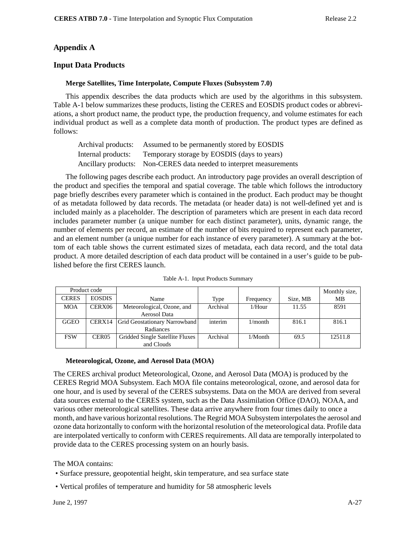# **Appendix A**

## **Input Data Products**

### **Merge Satellites, Time Interpolate, Compute Fluxes (Subsystem 7.0)**

This appendix describes the data products which are used by the algorithms in this subsystem. Table A-1 below summarizes these products, listing the CERES and EOSDIS product codes or abbreviations, a short product name, the product type, the production frequency, and volume estimates for each individual product as well as a complete data month of production. The product types are defined as follows:

| Archival products: | Assumed to be permanently stored by EOSDIS                          |
|--------------------|---------------------------------------------------------------------|
| Internal products: | Temporary storage by EOSDIS (days to years)                         |
|                    | Ancillary products: Non-CERES data needed to interpret measurements |

The following pages describe each product. An introductory page provides an overall description of the product and specifies the temporal and spatial coverage. The table which follows the introductory page briefly describes every parameter which is contained in the product. Each product may be thought of as metadata followed by data records. The metadata (or header data) is not well-defined yet and is included mainly as a placeholder. The description of parameters which are present in each data record includes parameter number (a unique number for each distinct parameter), units, dynamic range, the number of elements per record, an estimate of the number of bits required to represent each parameter, and an element number (a unique number for each instance of every parameter). A summary at the bottom of each table shows the current estimated sizes of metadata, each data record, and the total data product. A more detailed description of each data product will be contained in a user's guide to be published before the first CERES launch.

| Product code |                   |                                      |          |            |          | Monthly size, |
|--------------|-------------------|--------------------------------------|----------|------------|----------|---------------|
| <b>CERES</b> | <b>EOSDIS</b>     | Name                                 | Type     | Frequency  | Size, MB | MB            |
| <b>MOA</b>   | CERX06            | Meteorological, Ozone, and           | Archival | $1/H$ our  | 11.55    | 8591          |
|              |                   | Aerosol Data                         |          |            |          |               |
| <b>GGEO</b>  | CERX14            | <b>Grid Geostationary Narrowband</b> | interim  | 1/month    | 816.1    | 816.1         |
|              |                   | Radiances                            |          |            |          |               |
| <b>FSW</b>   | CER <sub>05</sub> | Gridded Single Satellite Fluxes      | Archival | $1/M$ onth | 69.5     | 12511.8       |
|              |                   | and Clouds                           |          |            |          |               |

Table A-1. Input Products Summary

### **Meteorological, Ozone, and Aerosol Data (MOA)**

The CERES archival product Meteorological, Ozone, and Aerosol Data (MOA) is produced by the CERES Regrid MOA Subsystem. Each MOA file contains meteorological, ozone, and aerosol data for one hour, and is used by several of the CERES subsystems. Data on the MOA are derived from several data sources external to the CERES system, such as the Data Assimilation Office (DAO), NOAA, and various other meteorological satellites. These data arrive anywhere from four times daily to once a month, and have various horizontal resolutions. The Regrid MOA Subsystem interpolates the aerosol and ozone data horizontally to conform with the horizontal resolution of the meteorological data. Profile data are interpolated vertically to conform with CERES requirements. All data are temporally interpolated to provide data to the CERES processing system on an hourly basis.

The MOA contains:

- Surface pressure, geopotential height, skin temperature, and sea surface state
- Vertical profiles of temperature and humidity for 58 atmospheric levels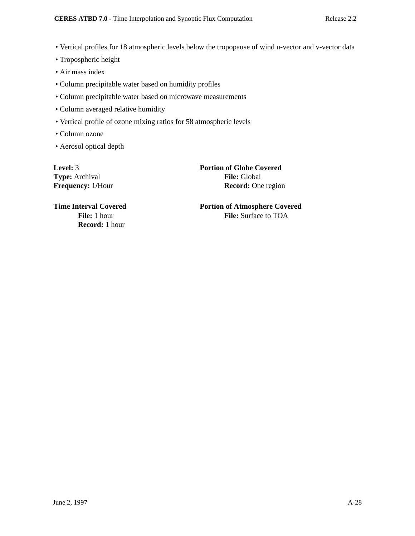- Vertical profiles for 18 atmospheric levels below the tropopause of wind u-vector and v-vector data
- Tropospheric height
- Air mass index
- Column precipitable water based on humidity profiles
- Column precipitable water based on microwave measurements
- Column averaged relative humidity
- Vertical profile of ozone mixing ratios for 58 atmospheric levels
- Column ozone
- Aerosol optical depth

**Type:** Archival **File:** Global

**Level:** 3 **Portion of Globe Covered Frequency:** 1/Hour **Record:** One region

**Record:** 1 hour

**Time Interval Covered 2008 Portion of Atmosphere Covered File:** 1 hour **File:** Surface to TOA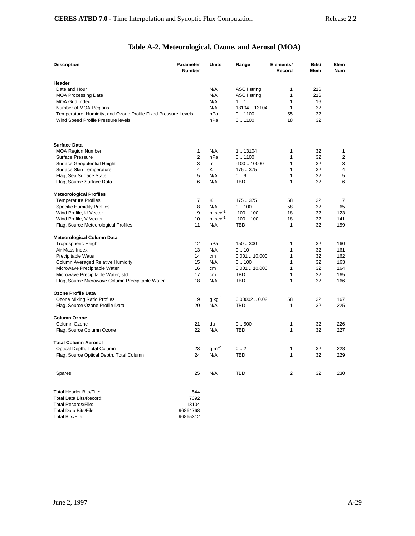# **Table A-2. Meteorological, Ozone, and Aerosol (MOA)**

| <b>Description</b>                                             | <b>Parameter</b><br><b>Number</b> | <b>Units</b>          | Range               | Elements/<br>Record | Bits/<br>Elem | Elem<br><b>Num</b> |
|----------------------------------------------------------------|-----------------------------------|-----------------------|---------------------|---------------------|---------------|--------------------|
| Header                                                         |                                   |                       |                     |                     |               |                    |
| Date and Hour                                                  |                                   | N/A                   | <b>ASCII string</b> | 1                   | 216           |                    |
| <b>MOA Processing Date</b>                                     |                                   | N/A                   | <b>ASCII string</b> | 1                   | 216           |                    |
| <b>MOA Grid Index</b>                                          |                                   | N/A                   | 1.1                 | 1                   | 16            |                    |
| Number of MOA Regions                                          |                                   | N/A                   | 13104  13104        | $\mathbf{1}$        | 32            |                    |
| Temperature, Humidity, and Ozone Profile Fixed Pressure Levels |                                   | hPa                   | 0.1100              | 55                  | 32            |                    |
| Wind Speed Profile Pressure levels                             |                                   | hPa                   | 0.1100              | 18                  | 32            |                    |
| <b>Surface Data</b>                                            |                                   |                       |                     |                     |               |                    |
| <b>MOA Region Number</b>                                       | 1                                 | N/A                   | 113104              | 1                   | 32            | 1                  |
| <b>Surface Pressure</b>                                        | 2                                 | hPa                   | 0.1100              | $\mathbf{1}$        | 32            | $\overline{2}$     |
| Surface Geopotential Height                                    | 3                                 | m                     | $-10010000$         | 1                   | 32            | 3                  |
| Surface Skin Temperature                                       | 4                                 | Κ                     | 175.375             | $\mathbf{1}$        | 32            | $\overline{4}$     |
| Flag, Sea Surface State                                        | 5                                 | N/A                   | 0.9                 | 1                   | 32            | 5                  |
| Flag, Source Surface Data                                      | 6                                 | N/A                   | <b>TBD</b>          | $\mathbf{1}$        | 32            | 6                  |
|                                                                |                                   |                       |                     |                     |               |                    |
| <b>Meteorological Profiles</b>                                 |                                   |                       |                     |                     |               |                    |
| <b>Temperature Profiles</b>                                    | 7                                 | Κ                     | 175.375             | 58                  | 32            | 7                  |
| <b>Specific Humidity Profiles</b>                              | 8                                 | N/A                   | 0.100               | 58                  | 32            | 65                 |
| Wind Profile, U-Vector                                         | 9                                 | $m$ sec $^{-1}$       | $-100100$           | 18                  | 32            | 123                |
| Wind Profile, V-Vector                                         | 10                                | $m$ sec <sup>-1</sup> | $-100100$           | 18                  | 32            | 141                |
| Flag, Source Meteorological Profiles                           | 11                                | N/A                   | TBD                 | $\mathbf{1}$        | 32            | 159                |
| Meteorological Column Data                                     |                                   |                       |                     |                     |               |                    |
| Tropospheric Height                                            | 12                                | hPa                   | 150.300             | 1                   | 32            | 160                |
| Air Mass Index                                                 | 13                                | N/A                   | 0.10                | 1                   | 32            | 161                |
| Precipitable Water                                             | 14                                | cm                    | 0.00110.000         | $\mathbf{1}$        | 32            | 162                |
| Column Averaged Relative Humidity                              | 15                                | N/A                   | 0.100               | $\mathbf{1}$        | 32            | 163                |
| Microwave Precipitable Water                                   | 16                                | cm                    | 0.00110.000         | $\mathbf{1}$        | 32            | 164                |
| Microwave Precipitable Water, std                              | 17                                | cm                    | TBD                 | $\mathbf{1}$        | 32            | 165                |
| Flag, Source Microwave Column Precipitable Water               | 18                                | N/A                   | TBD                 | $\mathbf{1}$        | 32            | 166                |
| <b>Ozone Profile Data</b>                                      |                                   |                       |                     |                     |               |                    |
| Ozone Mixing Ratio Profiles                                    | 19                                | $g kg^{-1}$           | 0.000020.02         | 58                  | 32            | 167                |
| Flag, Source Ozone Profile Data                                | 20                                | N/A                   | TBD                 | 1                   | 32            | 225                |
| <b>Column Ozone</b>                                            | 21                                | du                    |                     |                     | 32            |                    |
| Column Ozone                                                   | 22                                | N/A                   | 0.500<br><b>TBD</b> | 1<br>$\mathbf{1}$   | 32            | 226<br>227         |
| Flag, Source Column Ozone                                      |                                   |                       |                     |                     |               |                    |
| <b>Total Column Aerosol</b>                                    |                                   |                       |                     |                     |               |                    |
| Optical Depth, Total Column                                    | 23                                | $g m^{-2}$            | 0.2                 | 1                   | 32            | 228                |
| Flag, Source Optical Depth, Total Column                       | 24                                | N/A                   | TBD                 | $\mathbf{1}$        | 32            | 229                |
| Spares                                                         | 25                                | N/A                   | TBD                 | 2                   | 32            | 230                |
| <b>Total Header Bits/File:</b>                                 | 544                               |                       |                     |                     |               |                    |
| <b>Total Data Bits/Record:</b>                                 | 7392                              |                       |                     |                     |               |                    |
| <b>Total Records/File:</b>                                     | 13104                             |                       |                     |                     |               |                    |
| Total Data Bits/File:                                          | 96864768                          |                       |                     |                     |               |                    |
| <b>Total Bits/File:</b>                                        | 96865312                          |                       |                     |                     |               |                    |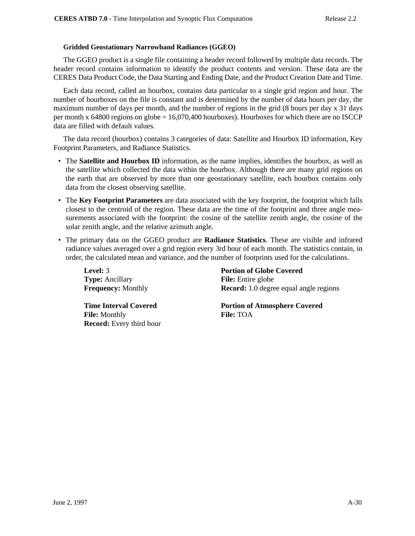## **Gridded Geostationary Narrowband Radiances (GGEO)**

The GGEO product is a single file containing a header record followed by multiple data records. The header record contains information to identify the product contents and version. These data are the CERES Data Product Code, the Data Starting and Ending Date, and the Product Creation Date and Time.

Each data record, called an hourbox, contains data particular to a single grid region and hour. The number of hourboxes on the file is constant and is determined by the number of data hours per day, the maximum number of days per month, and the number of regions in the grid (8 hours per day x 31 days per month x 64800 regions on globe = 16,070,400 hourboxes). Hourboxes for which there are no ISCCP data are filled with default values.

The data record (hourbox) contains 3 categories of data: Satellite and Hourbox ID information, Key Footprint Parameters, and Radiance Statistics.

- The **Satellite and Hourbox ID** information, as the name implies, identifies the hourbox, as well as the satellite which collected the data within the hourbox. Although there are many grid regions on the earth that are observed by more than one geostationary satellite, each hourbox contains only data from the closest observing satellite.
- The **Key Footprint Parameters** are data associated with the key footprint, the footprint which falls closest to the centroid of the region. These data are the time of the footprint and three angle measurements associated with the footprint: the cosine of the satellite zenith angle, the cosine of the solar zenith angle, and the relative azimuth angle.
- The primary data on the GGEO product are **Radiance Statistics**. These are visible and infrared radiance values averaged over a grid region every 3rd hour of each month. The statistics contain, in order, the calculated mean and variance, and the number of footprints used for the calculations.

**Type:** Ancillary **File:** Entire globe

**File:** Monthly **File:** TOA **Record:** Every third hour

**Level:** 3 **Portion of Globe Covered Frequency:** Monthly **Record:** 1.0 degree equal angle regions

**Time Interval Covered Portion of Atmosphere Covered**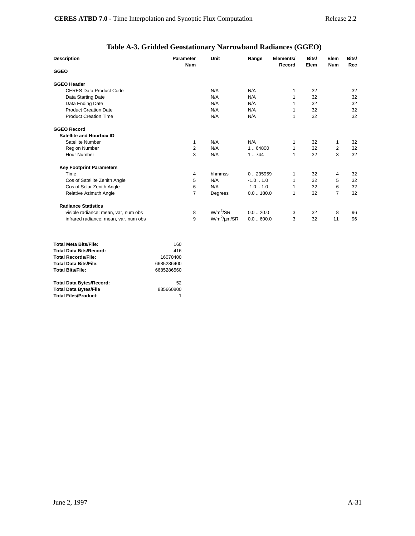# **Table A-3. Gridded Geostationary Narrowband Radiances (GGEO)**

| <b>Description</b>                    | Parameter<br><b>Num</b> | Unit                 | Range              | Elements/<br>Record | Bits/<br>Elem | Elem<br><b>Num</b> | Bits/<br>Rec |
|---------------------------------------|-------------------------|----------------------|--------------------|---------------------|---------------|--------------------|--------------|
| <b>GGEO</b>                           |                         |                      |                    |                     |               |                    |              |
| <b>GGEO Header</b>                    |                         |                      |                    |                     |               |                    |              |
| <b>CERES Data Product Code</b>        |                         | N/A                  | N/A                | 1                   | 32            |                    | 32           |
| Data Starting Date                    |                         | N/A                  | N/A                | 1                   | 32            |                    | 32           |
| Data Ending Date                      |                         | N/A                  | N/A                |                     | 32            |                    | 32           |
| <b>Product Creation Date</b>          |                         | N/A                  | N/A                |                     | 32            |                    | 32           |
| <b>Product Creation Time</b>          |                         | N/A                  | N/A                | 1                   | 32            |                    | 32           |
| <b>GGEO Record</b>                    |                         |                      |                    |                     |               |                    |              |
| Satellite and Hourbox ID              |                         |                      |                    |                     |               |                    |              |
| Satellite Number                      | 1                       | N/A                  | N/A                | 1                   | 32            | 1                  | 32           |
| <b>Region Number</b>                  | 2                       | N/A                  | 1.64800            | 1                   | 32            | $\overline{2}$     | 32           |
| Hour Number                           | 3                       | N/A                  | 1.744              | 1                   | 32            | 3                  | 32           |
| <b>Key Footprint Parameters</b>       |                         |                      |                    |                     |               |                    |              |
| Time                                  | 4                       | hhmmss               | 0.235959           | 1                   | 32            | 4                  | 32           |
| Cos of Satellite Zenith Angle         | 5                       | N/A                  | $-1.01.0$          | 1                   | 32            | 5                  | 32           |
| Cos of Solar Zenith Angle             | 6                       | N/A                  | $-1.0$ $\dots$ 1.0 | 1                   | 32            | 6                  | 32           |
| Relative Azimuth Angle                | 7                       | Degrees              | 0.0180.0           | 1                   | 32            | $\overline{7}$     | 32           |
| <b>Radiance Statistics</b>            |                         |                      |                    |                     |               |                    |              |
| visible radiance: mean, var, num obs  | 8                       | $W/m^2/SR$           | $0.0-.20.0$        | 3                   | 32            | 8                  | 96           |
| infrared radiance: mean, var, num obs | 9                       | $W/m^2$ / $\mu$ m/SR | 0.0600.0           | 3                   | 32            | 11                 | 96           |

| <b>Total Meta Bits/File:</b>    | 160        |
|---------------------------------|------------|
| <b>Total Data Bits/Record:</b>  | 416        |
| <b>Total Records/File:</b>      | 16070400   |
| <b>Total Data Bits/File:</b>    | 6685286400 |
| <b>Total Bits/File:</b>         | 6685286560 |
| <b>Total Data Bytes/Record:</b> | 52         |
| <b>Total Data Bytes/File</b>    | 835660800  |
| <b>Total Files/Product:</b>     | 1          |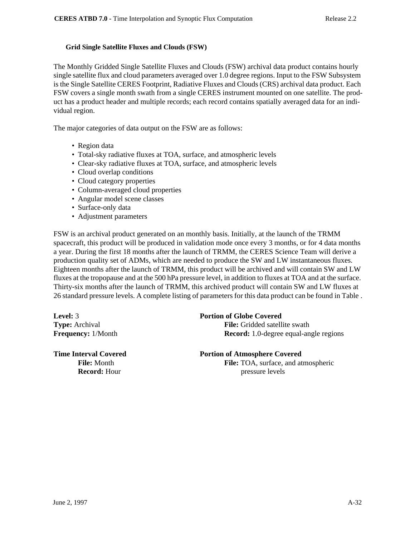### **Grid Single Satellite Fluxes and Clouds (FSW)**

The Monthly Gridded Single Satellite Fluxes and Clouds (FSW) archival data product contains hourly single satellite flux and cloud parameters averaged over 1.0 degree regions. Input to the FSW Subsystem is the Single Satellite CERES Footprint, Radiative Fluxes and Clouds (CRS) archival data product. Each FSW covers a single month swath from a single CERES instrument mounted on one satellite. The product has a product header and multiple records; each record contains spatially averaged data for an individual region.

The major categories of data output on the FSW are as follows:

- Region data
- Total-sky radiative fluxes at TOA, surface, and atmospheric levels
- Clear-sky radiative fluxes at TOA, surface, and atmospheric levels
- Cloud overlap conditions
- Cloud category properties
- Column-averaged cloud properties
- Angular model scene classes
- Surface-only data
- Adjustment parameters

FSW is an archival product generated on an monthly basis. Initially, at the launch of the TRMM spacecraft, this product will be produced in validation mode once every 3 months, or for 4 data months a year. During the first 18 months after the launch of TRMM, the CERES Science Team will derive a production quality set of ADMs, which are needed to produce the SW and LW instantaneous fluxes. Eighteen months after the launch of TRMM, this product will be archived and will contain SW and LW fluxes at the tropopause and at the 500 hPa pressure level, in addition to fluxes at TOA and at the surface. Thirty-six months after the launch of TRMM, this archived product will contain SW and LW fluxes at 26 standard pressure levels. A complete listing of parameters for this data product can be found in Table .

## **Level:** 3 **Portion of Globe Covered**

**Type:** Archival **File:** Gridded satellite swath **Frequency:** 1/Month **Record:** 1.0-degree equal-angle regions

### **Time Interval Covered 2008 Portion of Atmosphere Covered**

File: Month **File:** TOA, surface, and atmospheric **Record:** Hour pressure levels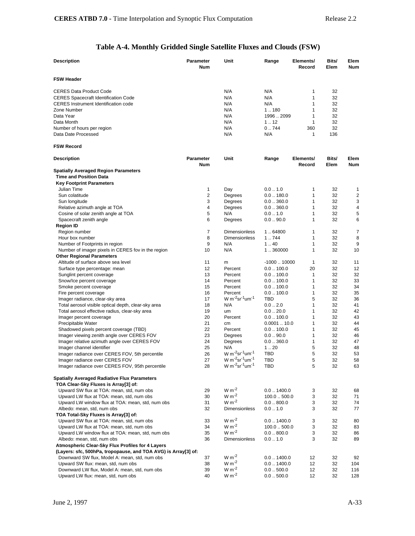# **Table A-4. Monthly Gridded Single Satellite Fluxes and Clouds (FSW)**

| <b>Description</b>                                                        | Parameter               | Unit                                                | Range                 | Elements/           | Bits/         | Elem               |
|---------------------------------------------------------------------------|-------------------------|-----------------------------------------------------|-----------------------|---------------------|---------------|--------------------|
|                                                                           | <b>Num</b>              |                                                     |                       | Record              | Elem          | <b>Num</b>         |
| <b>FSW Header</b>                                                         |                         |                                                     |                       |                     |               |                    |
| <b>CERES Data Product Code</b>                                            |                         | N/A                                                 | N/A                   | 1                   | 32            |                    |
| <b>CERES Spacecraft Identification Code</b>                               |                         | N/A                                                 | N/A                   | 1                   | 32            |                    |
| <b>CERES</b> Instrument Identification code                               |                         | N/A                                                 | N/A                   | 1                   | 32            |                    |
| Zone Number                                                               |                         | N/A                                                 | 1.180                 | 1                   | 32            |                    |
| Data Year                                                                 |                         | N/A                                                 | 19962099              | 1                   | 32            |                    |
| Data Month                                                                |                         | N/A                                                 | 1.12                  | $\mathbf{1}$        | 32            |                    |
| Number of hours per region                                                |                         | N/A                                                 | 0.744                 | 360                 | 32            |                    |
| Data Date Processed                                                       |                         | N/A                                                 | N/A                   | $\mathbf{1}$        | 136           |                    |
| <b>FSW Record</b>                                                         |                         |                                                     |                       |                     |               |                    |
| <b>Description</b>                                                        | <b>Parameter</b><br>Num | Unit                                                | Range                 | Elements/<br>Record | Bits/<br>Elem | Elem<br><b>Num</b> |
| <b>Spatially Averaged Region Parameters</b>                               |                         |                                                     |                       |                     |               |                    |
| <b>Time and Position Data</b>                                             |                         |                                                     |                       |                     |               |                    |
| <b>Key Footprint Parameters</b>                                           |                         |                                                     |                       |                     |               |                    |
| Julian Time                                                               | 1                       | Day                                                 | 0.01.0                | 1                   | 32            | 1                  |
| Sun colatitude                                                            | 2                       | Degrees                                             | 0.0180.0              | $\mathbf{1}$        | 32            | $\overline{c}$     |
| Sun longitude                                                             | 3                       | Degrees                                             | 0.0360.0              | 1                   | 32            | 3                  |
| Relative azimuth angle at TOA                                             | 4                       | Degrees                                             | 0.0360.0              | $\mathbf{1}$        | 32            | 4                  |
| Cosine of solar zenith angle at TOA                                       | 5                       | N/A                                                 | 0.01.0                | 1                   | 32            | 5                  |
| Spacecraft zenith angle                                                   | 6                       | Degrees                                             | 0.090.0               | $\mathbf{1}$        | 32            | 6                  |
| <b>Region ID</b>                                                          |                         |                                                     |                       |                     |               |                    |
| Region number                                                             | $\overline{7}$          | Dimensionless                                       | 1.64800               | 1                   | 32            | 7                  |
| Hour box number                                                           | 8                       | <b>Dimensionless</b>                                | 1.744                 | 1                   | 32            | 8                  |
| Number of Footprints in region                                            | 9                       | N/A                                                 | 140                   | 1                   | 32            | 9                  |
| Number of imager pixels in CERES fov in the region                        | 10                      | N/A                                                 | 1.360000              | 1                   | 32            | 10                 |
| <b>Other Regional Parameters</b>                                          |                         |                                                     |                       |                     |               |                    |
| Altitude of surface above sea level                                       | 11                      | m                                                   | $-100010000$          | 1                   | 32            | 11                 |
| Surface type percentage: mean                                             | 12                      | Percent                                             | $0.0$ 100.0           | 20                  | 32            | 12                 |
| Sunglint percent coverage                                                 | 13                      | Percent                                             | $0.0$ 100.0           | 1                   | 32            | 32                 |
| Snow/Ice percent coverage                                                 | 14                      | Percent                                             | $0.0$ $\ldots$ 100.0  | 1                   | 32            | 33                 |
| Smoke percent coverage                                                    | 15                      | Percent                                             | $0.0$ $.100.0$        | 1                   | 32            | 34                 |
| Fire percent coverage                                                     | 16                      | Percent                                             | $0.0$ $\ldots$ 100.0  | 1                   | 32            | 35                 |
| Imager radiance, clear-sky area                                           | 17                      | W m <sup>-2</sup> sr <sup>-1</sup> um <sup>-1</sup> | TBD                   | 5                   | 32            | 36                 |
| Total aerosol visible optical depth, clear-sky area                       | 18                      | N/A                                                 | 0.02.0                | 1                   | 32            | 41                 |
| Total aerosol effective radius, clear-sky area                            | 19                      | um                                                  | 0.020.0               | 1                   | 32            | 42                 |
| Imager percent coverage                                                   | 20                      | Percent                                             | $0.0$ $\ldots$ 100.0  | 1                   | 32            | 43                 |
| Precipitable Water                                                        | 21                      | cm                                                  | 0.000110.0            | 1<br>1              | 32            | 44                 |
| Shadowed pixels percent coverage (TBD)                                    | 22<br>23                | Percent                                             | $0.0$ 100.0           | 1                   | 32<br>32      | 45                 |
| Imager viewing zenith angle over CERES FOV                                | 24                      | Degrees                                             | 0.090.0               | 1                   | 32            | 46<br>47           |
| Imager relative azimuth angle over CERES FOV<br>Imager channel identifier | 25                      | Degrees<br>N/A                                      | 0.0360.0<br>1.20      | 5                   | 32            | 48                 |
| Imager radiance over CERES FOV, 5th percentile                            | 26                      | $W m^{-2}$ sr <sup>-1</sup> um <sup>-1</sup>        | TBD                   | 5                   | 32            | 53                 |
| Imager radiance over CERES FOV                                            | 27                      | W m <sup>-2</sup> sr <sup>-1</sup> um <sup>-1</sup> | TBD                   | 5                   | 32            | 58                 |
| Imager radiance over CERES FOV, 95th percentile                           | 28                      | W $m^{-2}$ sr <sup>-1</sup> um <sup>-1</sup>        | <b>TBD</b>            | 5                   | 32            | 63                 |
| <b>Spatially Averaged Radiative Flux Parameters</b>                       |                         |                                                     |                       |                     |               |                    |
| TOA Clear-Sky Fluxes is Array[3] of:                                      |                         |                                                     |                       |                     |               |                    |
| Upward SW flux at TOA: mean, std, num obs                                 | 29                      | $W m-2$                                             | $0.0$ $\ldots$ 1400.0 | 3                   | 32            | 68                 |
| Upward LW flux at TOA: mean, std, num obs                                 | 30                      | $W m-2$                                             | 100.0500.0            | 3                   | 32            | 71                 |
| Upward LW window flux at TOA: mean, std, num obs                          | 31                      | $W m-2$                                             | 0.0800.0              | 3                   | 32            | 74                 |
| Albedo: mean, std, num obs                                                | 32                      | Dimensionless                                       | 0.0 1.0               | 3                   | 32            | 77                 |
| TOA Total-Sky Fluxes is Array[3] of:                                      |                         |                                                     |                       |                     |               |                    |
| Upward SW flux at TOA: mean, std, num obs                                 | 33                      | $W m-2$                                             | $0.0$ $\ldots$ 1400.0 | 3                   | 32            | 80                 |
| Upward LW flux at TOA: mean, std, num obs                                 | 34                      | $W m-2$                                             | 100.0500.0            | 3                   | 32            | 83                 |
| Upward LW window flux at TOA: mean, std, num obs                          | 35                      | $W m-2$                                             | 0.0800.0              | 3                   | 32            | 86                 |
| Albedo: mean, std, num obs                                                | 36                      | Dimensionless                                       | 0.01.0                | 3                   | 32            | 89                 |
| Atmospheric Clear-Sky Flux Profiles for 4 Layers                          |                         |                                                     |                       |                     |               |                    |
| (Layers: sfc, 500hPa, tropopause, and TOA AVG) is Array[3] of:            |                         |                                                     |                       |                     |               |                    |
| Downward SW flux, Model A: mean, std, num obs                             | 37                      | $W m^{-2}$                                          | $0.0$ $\ldots$ 1400.0 | 12                  | 32            | 92                 |
| Upward SW flux: mean, std, num obs                                        | 38                      | $W m-2$                                             | $0.0$ $\ldots$ 1400.0 | 12                  | 32            | 104                |
| Downward LW flux, Model A: mean, std, num obs                             | 39                      | $W m-2$                                             | 0.0500.0              | 12                  | 32            | 116                |
| Upward LW flux: mean, std, num obs                                        | 40                      | $W m-2$                                             | 0.0500.0              | 12                  | 32            | 128                |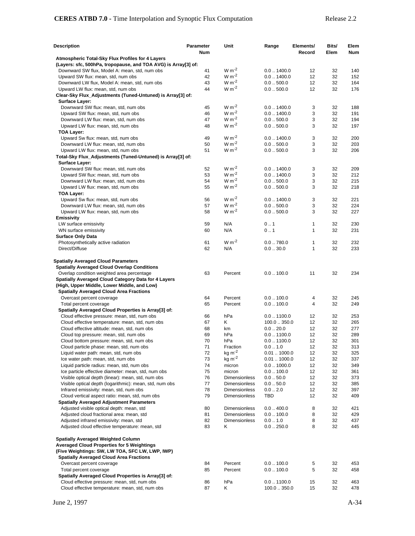| Description                                                                                                        | <b>Parameter</b><br>Num | Unit                 | Range                                          | Elements/<br>Record | Bits/<br>Elem | Elem<br>Num |
|--------------------------------------------------------------------------------------------------------------------|-------------------------|----------------------|------------------------------------------------|---------------------|---------------|-------------|
| Atmospheric Total-Sky Flux Profiles for 4 Layers<br>(Layers: sfc, 500hPa, tropopause, and TOA AVG) is Array[3] of: |                         |                      |                                                |                     |               |             |
| Downward SW flux, Model A: mean, std, num obs                                                                      | 41                      | $W m-2$              | $0.0$ $\ldots$ 1400.0                          | 12                  | 32            | 140         |
| Upward SW flux: mean, std, num obs                                                                                 | 42                      | $W m-2$              | $0.0$ $\ldots$ 1400.0                          | 12                  | 32            | 152         |
| Downward LW flux, Model A: mean, std, num obs                                                                      | 43                      | $W m^{-2}$           | 0.0500.0                                       | 12                  | 32            | 164         |
| Upward LW flux: mean, std, num obs                                                                                 | 44                      | $W m^{-2}$           | 0.0500.0                                       | 12                  | 32            | 176         |
| Clear-Sky Flux_Adjustments (Tuned-Untuned) is Array[3] of:                                                         |                         |                      |                                                |                     |               |             |
| <b>Surface Layer:</b>                                                                                              |                         |                      |                                                |                     |               |             |
| Downward SW flux: mean, std, num obs                                                                               | 45<br>46                | $W m-2$<br>$W m-2$   | $0.0$ $\ldots$ 1400.0<br>$0.0$ $\ldots$ 1400.0 | 3<br>3              | 32<br>32      | 188<br>191  |
| Upward SW flux: mean, std, num obs<br>Downward LW flux: mean, std, num obs                                         | 47                      | $W m-2$              | $0.0-.500.0$                                   | 3                   | 32            | 194         |
| Upward LW flux: mean, std, num obs                                                                                 | 48                      | $W m-2$              | 0.0500.0                                       | 3                   | 32            | 197         |
| TOA Layer:                                                                                                         |                         |                      |                                                |                     |               |             |
| Upward Sw flux: mean, std, num obs                                                                                 | 49                      | $W m-2$              | $0.0$ $.1400.0$                                | 3                   | 32            | 200         |
| Downward LW flux: mean, std, num obs                                                                               | 50                      | $W m-2$              | 0.0500.0                                       | 3                   | 32            | 203         |
| Upward LW flux: mean, std, num obs                                                                                 | 51                      | $W m^{-2}$           | 0.0500.0                                       | 3                   | 32            | 206         |
| Total-Sky Flux_Adjustments (Tuned-Untuned) is Array[3] of:<br><b>Surface Layer:</b>                                |                         |                      |                                                |                     |               |             |
| Downward SW flux: mean, std, num obs                                                                               | 52                      | $W m-2$              | $0.0$ $.1400.0$                                | 3                   | 32            | 209         |
| Upward SW flux: mean, std, num obs                                                                                 | 53                      | $W m-2$              | $0.0$ $\ldots$ 1400.0                          | 3                   | 32            | 212         |
| Downward LW flux: mean, std, num obs                                                                               | 54                      | $W m-2$              | $0.0-.500.0$                                   | 3                   | 32            | 215         |
| Upward LW flux: mean, std, num obs                                                                                 | 55                      | $W m-2$              | 0.0500.0                                       | 3                   | 32            | 218         |
| TOA Layer:                                                                                                         |                         |                      |                                                |                     |               |             |
| Upward Sw flux: mean, std, num obs                                                                                 | 56                      | $W m-2$              | 0.01400.0                                      | 3                   | 32            | 221         |
| Downward LW flux: mean, std, num obs                                                                               | 57                      | $W m-2$              | $0.0-.500.0$                                   | 3                   | 32            | 224         |
| Upward LW flux: mean, std, num obs                                                                                 | 58                      | $W m-2$              | $0.0-.500.0$                                   | 3                   | 32            | 227         |
| <b>Emissivity</b>                                                                                                  |                         |                      |                                                |                     |               |             |
| LW surface emissivity<br>WN surface emissivity                                                                     | 59<br>60                | N/A<br>N/A           | 0.1<br>0.1                                     | 1<br>$\mathbf{1}$   | 32<br>32      | 230         |
| <b>Surface Only Data</b>                                                                                           |                         |                      |                                                |                     |               | 231         |
| Photosynthetically active radiation                                                                                | 61                      | $W m-2$              | $0.0-.780.0$                                   | 1                   | 32            | 232         |
| Direct/Diffuse                                                                                                     | 62                      | N/A                  | 0.030.0                                        | $\mathbf{1}$        | 32            | 233         |
| <b>Spatially Averaged Cloud Parameters</b>                                                                         |                         |                      |                                                |                     |               |             |
| <b>Spatially Averaged Cloud Overlap Conditions</b>                                                                 |                         |                      |                                                |                     |               |             |
| Overlap condition weighted area percentage                                                                         | 63                      | Percent              | $0.0$ $\ldots$ 100.0                           | 11                  | 32            | 234         |
| Spatially Averaged Cloud Category Data for 4 Layers                                                                |                         |                      |                                                |                     |               |             |
| (High, Upper Middle, Lower Middle, and Low)<br><b>Spatially Averaged Cloud Area Fractions</b>                      |                         |                      |                                                |                     |               |             |
| Overcast percent coverage                                                                                          | 64                      | Percent              | 0.0100.0                                       | 4                   | 32            | 245         |
| Total percent coverage                                                                                             | 65                      | Percent              | $0.0$ $\ldots$ 100.0                           | 4                   | 32            | 249         |
| Spatially Averaged Cloud Properties is Array[3] of:                                                                |                         |                      |                                                |                     |               |             |
| Cloud effective pressure: mean, std, num obs                                                                       | 66                      | hPa                  | $0.0$ $\dots$ 1100.0                           | 12                  | 32            | 253         |
| Cloud effective temperature: mean, std, num obs                                                                    | 67                      | Κ                    | 100.0350.0                                     | 12                  | 32            | 265         |
| Cloud effective altitude: mean, std, num obs                                                                       | 68                      | km                   | 0.020.0                                        | 12                  | 32            | 277         |
| Cloud top pressure: mean, std, num obs                                                                             | 69                      | hPa                  | $0.0$ $\dots$ 1100.0                           | 12                  | 32            | 289         |
| Cloud bottom pressure: mean, std, num obs                                                                          | 70                      | hPa                  | $0.0$ $\ldots$ 1100.0                          | 12                  | 32            | 301         |
| Cloud particle phase: mean, std, num obs                                                                           | 71                      | Fraction             | 0.0 1.0                                        | 12                  | 32            | 313         |
| Liquid water path: mean, std, num obs                                                                              | 72<br>73                | $kg m-2$<br>$kg m-2$ | $0.01$ $\dots$ 1000.0                          | 12                  | 32            | 325         |
| Ice water path: mean, std, num obs<br>Liquid particle radius: mean, std, num obs                                   | 74                      | micron               | $0.01$ $\dots$ 1000.0<br>$0.0$ $.1000.0$       | 12<br>12            | 32<br>32      | 337<br>349  |
| Ice particle effective diameter: mean, std, num obs                                                                | 75                      | micron               | $0.0$ $\dots$ 100.0                            | 12                  | 32            | 361         |
| Visible optical depth (linear): mean, std, num obs                                                                 | 76                      | Dimensionless        | 0.050.0                                        | 12                  | 32            | 373         |
| Visible optical depth (logarithmic): mean, std, num obs                                                            | 77                      | <b>Dimensionless</b> | 0.050.0                                        | 12                  | 32            | 385         |
| Infrared emissivity: mean, std, num obs                                                                            | 78                      | Dimensionless        | 0.02.0                                         | 12                  | 32            | 397         |
| Cloud vertical aspect ratio: mean, std, num obs                                                                    | 79                      | <b>Dimensionless</b> | TBD                                            | 12                  | 32            | 409         |
| <b>Spatially Averaged Adjustment Parameters</b>                                                                    |                         |                      |                                                |                     |               |             |
| Adjusted visible optical depth: mean, std                                                                          | 80                      | Dimensionless        | $0.0$ $.400.0$                                 | 8                   | 32            | 421         |
| Adjusted cloud fractional area: mean, std                                                                          | 81                      | <b>Dimensionless</b> | $0.0$ $\dots$ 100.0                            | 8                   | 32            | 429         |
| Adjusted infrared emissivity: mean, std                                                                            | 82                      | <b>Dimensionless</b> | 0.01.0                                         | 8                   | 32            | 437         |
| Adjusted cloud effective temperature: mean, std                                                                    | 83                      | Κ                    | 0.0250.0                                       | 8                   | 32            | 445         |
| <b>Spatially Averaged Weighted Column</b>                                                                          |                         |                      |                                                |                     |               |             |
| <b>Averaged Cloud Properties for 5 Weightings</b>                                                                  |                         |                      |                                                |                     |               |             |
| (Five Weightings: SW, LW TOA, SFC LW, LWP, IWP)                                                                    |                         |                      |                                                |                     |               |             |
| <b>Spatially Averaged Cloud Area Fractions</b>                                                                     |                         |                      |                                                |                     |               |             |
| Overcast percent coverage                                                                                          | 84                      | Percent              | $0.0$ $\ldots$ 100.0                           | 5                   | 32            | 453         |
| Total percent coverage                                                                                             | 85                      | Percent              | $0.0$ $\ldots$ 100.0                           | 5                   | 32            | 458         |
| Spatially Averaged Cloud Properties is Array[3] of:                                                                |                         |                      |                                                |                     |               |             |
| Cloud effective pressure: mean, std, num obs                                                                       | 86                      | hPa                  | $0.0$ $\dots$ 1100.0                           | 15                  | 32            | 463         |
| Cloud effective temperature: mean, std, num obs                                                                    | 87                      | Κ                    | 100.0  350.0                                   | 15                  | 32            | 478         |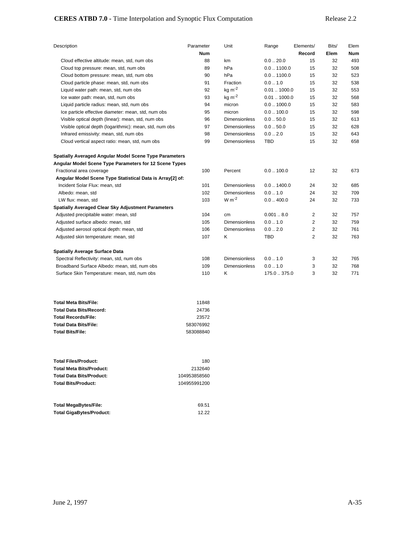## **CERES ATBD 7.0 -** Time Interpolation and Synoptic Flux Computation Release 2.2

| Description                                               | Parameter  | Unit                 | Range                 | Elements/      | Bits/ | Elem       |
|-----------------------------------------------------------|------------|----------------------|-----------------------|----------------|-------|------------|
|                                                           | <b>Num</b> |                      |                       | Record         | Elem  | <b>Num</b> |
| Cloud effective altitude: mean, std, num obs              | 88         | km                   | 0.020.0               | 15             | 32    | 493        |
| Cloud top pressure: mean, std, num obs                    | 89         | hPa                  | $0.0$ $\dots$ 1100.0  | 15             | 32    | 508        |
| Cloud bottom pressure: mean, std, num obs                 | 90         | hPa                  | $0.0$ $\ldots$ 1100.0 | 15             | 32    | 523        |
| Cloud particle phase: mean, std, num obs                  | 91         | Fraction             | 0.01.0                | 15             | 32    | 538        |
| Liquid water path: mean, std, num obs                     | 92         | $kg m-2$             | 0.011000.0            | 15             | 32    | 553        |
| Ice water path: mean, std, num obs                        | 93         | $kg m-2$             | $0.01$ $\dots$ 1000.0 | 15             | 32    | 568        |
| Liquid particle radius: mean, std, num obs                | 94         | micron               | $0.0$ $\dots$ 1000.0  | 15             | 32    | 583        |
| Ice particle effective diameter: mean, std, num obs       | 95         | micron               | $0.0$ $.100.0$        | 15             | 32    | 598        |
| Visible optical depth (linear): mean, std, num obs        | 96         | <b>Dimensionless</b> | 0.050.0               | 15             | 32    | 613        |
| Visible optical depth (logarithmic): mean, std, num obs   | 97         | <b>Dimensionless</b> | 0.050.0               | 15             | 32    | 628        |
| Infrared emissivity: mean, std, num obs                   | 98         | <b>Dimensionless</b> | 0.02.0                | 15             | 32    | 643        |
| Cloud vertical aspect ratio: mean, std, num obs           | 99         | <b>Dimensionless</b> | <b>TBD</b>            | 15             | 32    | 658        |
| Spatially Averaged Angular Model Scene Type Parameters    |            |                      |                       |                |       |            |
| Angular Model Scene Type Parameters for 12 Scene Types    |            |                      |                       |                |       |            |
| Fractional area coverage                                  | 100        | Percent              | $0.0$ $.100.0$        | 12             | 32    | 673        |
| Angular Model Scene Type Statistical Data is Array[2] of: |            |                      |                       |                |       |            |
| Incident Solar Flux: mean, std                            | 101        | <b>Dimensionless</b> | $0.0$ $\ldots$ 1400.0 | 24             | 32    | 685        |
| Albedo: mean, std                                         | 102        | <b>Dimensionless</b> | 0.01.0                | 24             | 32    | 709        |
| LW flux: mean, std                                        | 103        | $W m-2$              | 0.0400.0              | 24             | 32    | 733        |
| Spatially Averaged Clear Sky Adjustment Parameters        |            |                      |                       |                |       |            |
| Adjusted precipitable water: mean, std                    | 104        | cm                   | 0.0018.0              | 2              | 32    | 757        |
| Adjusted surface albedo: mean, std                        | 105        | <b>Dimensionless</b> | 0.01.0                | $\overline{2}$ | 32    | 759        |
| Adjusted aerosol optical depth: mean, std                 | 106        | <b>Dimensionless</b> | 0.02.0                | $\overline{2}$ | 32    | 761        |
| Adjusted skin temperature: mean, std                      | 107        | Κ                    | <b>TBD</b>            | 2              | 32    | 763        |
| <b>Spatially Average Surface Data</b>                     |            |                      |                       |                |       |            |
| Spectral Reflectivity: mean, std, num obs                 | 108        | <b>Dimensionless</b> | 0.01.0                | 3              | 32    | 765        |
| Broadband Surface Albedo: mean, std, num obs              | 109        | <b>Dimensionless</b> | 0.01.0                | 3              | 32    | 768        |
| Surface Skin Temperature: mean, std, num obs              | 110        | Κ                    | 175.0 . 375.0         | 3              | 32    | 771        |

| 11848     |
|-----------|
| 24736     |
| 23572     |
| 583076992 |
| 583088840 |
|           |

| <b>Total Files/Product:</b>     | 180          |
|---------------------------------|--------------|
| <b>Total Meta Bits/Product:</b> | 2132640      |
| <b>Total Data Bits/Product:</b> | 104953858560 |
| <b>Total Bits/Product:</b>      | 104955991200 |
|                                 |              |

| Total MegaBytes/File:    | 69.51 |
|--------------------------|-------|
| Total GigaBytes/Product: | 12.22 |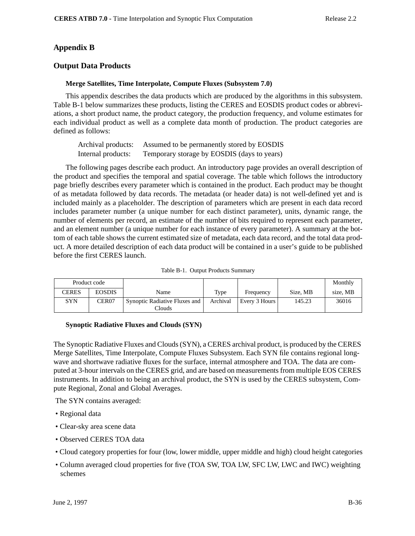# **Appendix B**

## **Output Data Products**

### **Merge Satellites, Time Interpolate, Compute Fluxes (Subsystem 7.0)**

This appendix describes the data products which are produced by the algorithms in this subsystem. Table B-1 below summarizes these products, listing the CERES and EOSDIS product codes or abbreviations, a short product name, the product category, the production frequency, and volume estimates for each individual product as well as a complete data month of production. The product categories are defined as follows:

| Archival products: | Assumed to be permanently stored by EOSDIS  |
|--------------------|---------------------------------------------|
| Internal products: | Temporary storage by EOSDIS (days to years) |

The following pages describe each product. An introductory page provides an overall description of the product and specifies the temporal and spatial coverage. The table which follows the introductory page briefly describes every parameter which is contained in the product. Each product may be thought of as metadata followed by data records. The metadata (or header data) is not well-defined yet and is included mainly as a placeholder. The description of parameters which are present in each data record includes parameter number (a unique number for each distinct parameter), units, dynamic range, the number of elements per record, an estimate of the number of bits required to represent each parameter, and an element number (a unique number for each instance of every parameter). A summary at the bottom of each table shows the current estimated size of metadata, each data record, and the total data product. A more detailed description of each data product will be contained in a user's guide to be published before the first CERES launch.

|  | Table B-1. Output Products Summary |  |
|--|------------------------------------|--|
|--|------------------------------------|--|

|              | Product code      |                                      |          |               |          | Monthly  |
|--------------|-------------------|--------------------------------------|----------|---------------|----------|----------|
| <b>CERES</b> | <b>EOSDIS</b>     | Name                                 | Type     | Frequency     | Size, MB | size. MB |
| <b>SYN</b>   | CER <sub>07</sub> | <b>Synoptic Radiative Fluxes and</b> | Archival | Every 3 Hours | 145.23   | 36016    |
|              |                   | Clouds                               |          |               |          |          |

### **Synoptic Radiative Fluxes and Clouds (SYN)**

The Synoptic Radiative Fluxes and Clouds (SYN), a CERES archival product, is produced by the CERES Merge Satellites, Time Interpolate, Compute Fluxes Subsystem. Each SYN file contains regional longwave and shortwave radiative fluxes for the surface, internal atmosphere and TOA. The data are computed at 3-hour intervals on the CERES grid, and are based on measurements from multiple EOS CERES instruments. In addition to being an archival product, the SYN is used by the CERES subsystem, Compute Regional, Zonal and Global Averages.

The SYN contains averaged:

- Regional data
- Clear-sky area scene data
- Observed CERES TOA data
- Cloud category properties for four (low, lower middle, upper middle and high) cloud height categories
- Column averaged cloud properties for five (TOA SW, TOA LW, SFC LW, LWC and IWC) weighting schemes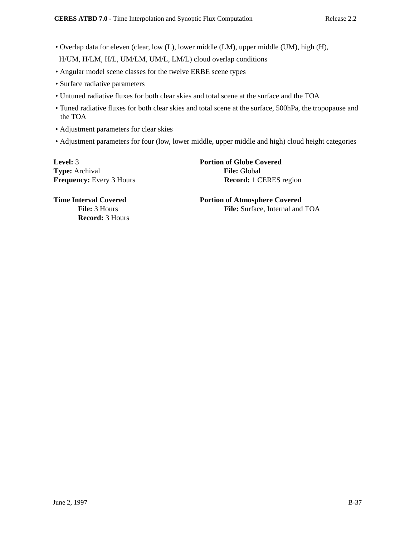- Overlap data for eleven (clear, low (L), lower middle (LM), upper middle (UM), high (H), H/UM, H/LM, H/L, UM/LM, UM/L, LM/L) cloud overlap conditions
- Angular model scene classes for the twelve ERBE scene types
- Surface radiative parameters
- Untuned radiative fluxes for both clear skies and total scene at the surface and the TOA
- Tuned radiative fluxes for both clear skies and total scene at the surface, 500hPa, the tropopause and the TOA
- Adjustment parameters for clear skies
- Adjustment parameters for four (low, lower middle, upper middle and high) cloud height categories

**Level:** 3 **Portion of Globe Covered Type:** Archival **File:** Global

**Frequency:** Every 3 Hours **Record:** 1 CERES region

**Record:** 3 Hours

**Time Interval Covered Portion of Atmosphere Covered** File: 3 Hours **File:** Surface, Internal and TOA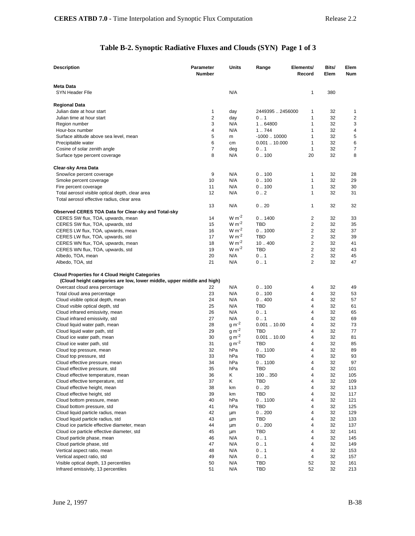# **Table B-2. Synoptic Radiative Fluxes and Clouds (SYN) Page 1 of 3**

| Description                                                                                                                     | Parameter<br>Number | Units          | Range             | Elements/<br>Record     | Bits/<br>Elem | Elem<br>Num |
|---------------------------------------------------------------------------------------------------------------------------------|---------------------|----------------|-------------------|-------------------------|---------------|-------------|
| Meta Data                                                                                                                       |                     |                |                   |                         |               |             |
| <b>SYN Header File</b>                                                                                                          |                     | N/A            |                   | 1                       | 380           |             |
| Regional Data                                                                                                                   |                     |                |                   |                         |               |             |
| Julian date at hour start                                                                                                       | 1                   | day            | 2449395  2456000  | 1                       | 32            | 1           |
| Julian time at hour start                                                                                                       | 2                   | day            | 0.1               | 1                       | 32            | 2           |
| Region number                                                                                                                   | 3                   | N/A            | 1.64800           | 1                       | 32            | 3           |
| Hour-box number                                                                                                                 | 4                   | N/A            | 1.744             | $\mathbf{1}$            | 32            | 4           |
| Surface altitude above sea level, mean                                                                                          | 5                   | m              | $-100010000$      | $\mathbf{1}$            | 32            | 5           |
| Precipitable water                                                                                                              | 6                   | cm             | 0.00110.000       | 1                       | 32            | 6           |
| Cosine of solar zenith angle                                                                                                    | 7                   | deg            | 0.1               | $\mathbf{1}$            | 32            | 7           |
| Surface type percent coverage                                                                                                   | 8                   | N/A            | 0.100             | 20                      | 32            | 8           |
| Clear-sky Area Data                                                                                                             |                     |                |                   |                         |               |             |
| Snow/ice percent coverage                                                                                                       | 9                   | N/A            | 0.100             | 1                       | 32            | 28          |
| Smoke percent coverage                                                                                                          | 10                  | N/A            | 0.100             | 1                       | 32            | 29          |
| Fire percent coverage                                                                                                           | 11                  | N/A            | 0.100             | 1                       | 32            | 30          |
| Total aerosol visible optical depth, clear area                                                                                 | 12                  | N/A            | 0.2               | 1                       | 32            | 31          |
| Total aerosol effective radius, clear area                                                                                      |                     |                |                   |                         |               |             |
|                                                                                                                                 | 13                  | N/A            | 0.20              | 1                       | 32            | 32          |
| Observed CERES TOA Data for Clear-sky and Total-sky<br>CERES SW flux, TOA, upwards, mean                                        | 14                  | $W m-2$        | 0.1400            | $\overline{\mathbf{c}}$ | 32            | 33          |
| CERES SW flux, TOA, upwards, std                                                                                                | 15                  | $W m^{-2}$     | <b>TBD</b>        | $\overline{2}$          | 32            | 35          |
| CERES LW flux, TOA, upwards, mean                                                                                               | 16                  | $W m^{-2}$     | 0.1000            | $\overline{2}$          | 32            | 37          |
| CERES LW flux, TOA, upwards, std                                                                                                | 17                  | $W m-2$        | <b>TBD</b>        | $\overline{2}$          | 32            | 39          |
| CERES WN flux, TOA, upwards, mean                                                                                               | 18                  | $W m-2$        | 10.400            | $\overline{2}$          | 32            | 41          |
| CERES WN flux, TOA, upwards, std                                                                                                | 19                  | $W m^{-2}$     | TBD               | $\boldsymbol{2}$        | 32            | 43          |
| Albedo, TOA, mean                                                                                                               | 20                  | N/A            | 0.1               | $\overline{\mathbf{c}}$ | 32            | 45          |
| Albedo, TOA, std                                                                                                                | 21                  | N/A            | 0.1               | $\overline{2}$          | 32            | 47          |
| <b>Cloud Properties for 4 Cloud Height Categories</b><br>(Cloud height categories are low, lower middle, upper middle and high) |                     |                |                   |                         |               |             |
| Overcast cloud area percentage                                                                                                  | 22                  | N/A            | 0.100             | 4                       | 32            | 49          |
| Total cloud area percentage                                                                                                     | 23                  | N/A            | 0.100             | 4                       | 32            | 53          |
| Cloud visible optical depth, mean                                                                                               | 24                  | N/A            | 0.400             | 4                       | 32            | 57          |
| Cloud vsible optical depth, std                                                                                                 | 25                  | N/A            | <b>TBD</b>        | 4                       | 32            | 61          |
| Cloud infrared emissivity, mean                                                                                                 | 26                  | N/A            | 0.1               | 4                       | 32            | 65          |
| Cloud infrared emissivity, std                                                                                                  | 27                  | N/A<br>$g m-2$ | 0.1<br>0.00110.00 | 4<br>4                  | 32            | 69          |
| Cloud liquid water path, mean                                                                                                   | 28<br>29            | $g m-2$        | TBD               | 4                       | 32<br>32      | 73<br>77    |
| Cloud liquid water path, std<br>Cloud ice water path, mean                                                                      | 30                  | $g m-2$        | 0.00110.00        | 4                       | 32            | 81          |
| Cloud ice water path, std                                                                                                       | 31                  | $g m^{-2}$     | TBD               | 4                       | 32            | 85          |
| Cloud top pressure, mean                                                                                                        | 32                  | hPa            | 0.1100            | 4                       | 32            | 89          |
| Cloud top pressure, std                                                                                                         | 33                  | hPa            | TBD               | 4                       | 32            | 93          |
| Cloud effective pressure, mean                                                                                                  | 34                  | hPa            | 0.1100            | $\overline{4}$          | 32            | 97          |
| Cloud effective pressure, std                                                                                                   | 35                  | hPa            | TBD               | 4                       | 32            | 101         |
| Cloud effective temperature, mean                                                                                               | 36                  | Κ              | 100350            | 4                       | 32            | 105         |
| Cloud effective temperature, std                                                                                                | 37                  | Κ              | TBD               | 4                       | 32            | 109         |
| Cloud effective height, mean                                                                                                    | 38                  | km             | 0.20              | 4                       | 32            | 113         |
| Cloud effective height, std                                                                                                     | 39                  | km             | <b>TBD</b>        | 4                       | 32            | 117         |
| Cloud bottom pressure, mean                                                                                                     | 40                  | hPa            | 0.1100            | 4                       | 32            | 121         |
| Cloud bottom pressure, std                                                                                                      | 41                  | hPa            | <b>TBD</b>        | 4                       | 32            | 125         |
| Cloud liquid particle radius, mean                                                                                              | 42                  | μm             | 0.200             | 4                       | 32            | 129         |
| Cloud liquid particle radius, std                                                                                               | 43                  | μm             | TBD               | 4                       | 32            | 133         |
| Cloud ice particle effective diameter, mean                                                                                     | 44                  | μm             | 0.200             | 4                       | 32            | 137         |
| Cloud ice particle effective diameter, std                                                                                      | 45                  | μm             | TBD               | 4                       | 32            | 141         |
| Cloud particle phase, mean                                                                                                      | 46                  | N/A            | 0.1               | 4                       | 32            | 145         |
| Cloud particle phase, std                                                                                                       | 47                  | N/A            | 0.1               | 4                       | 32            | 149         |
| Vertical aspect ratio, mean                                                                                                     | 48                  | N/A            | 0.1               | 4                       | 32            | 153         |
| Vertical aspect ratio, std                                                                                                      | 49                  | N/A            | 0.1               | 4                       | 32            | 157         |
| Visible optical depth, 13 percentiles                                                                                           | 50                  | N/A            | TBD               | 52                      | 32            | 161         |
| Infrared emissivity, 13 percentiles                                                                                             | 51                  | N/A            | <b>TBD</b>        | 52                      | 32            | 213         |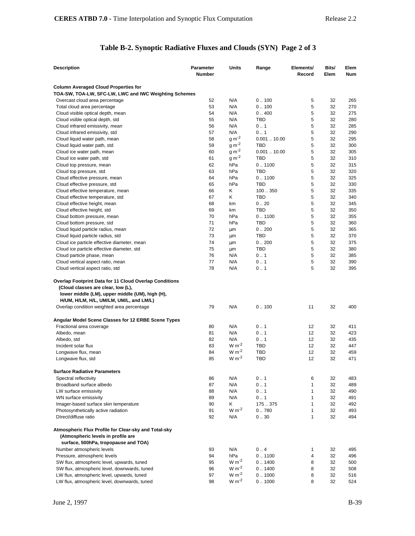# **Table B-2. Synoptic Radiative Fluxes and Clouds (SYN) Page 2 of 3**

| <b>Description</b>                                                                                                                                     | <b>Parameter</b><br><b>Number</b> | Units             | Range            | Elements/<br>Record | Bits/<br>Elem | Elem<br><b>Num</b> |
|--------------------------------------------------------------------------------------------------------------------------------------------------------|-----------------------------------|-------------------|------------------|---------------------|---------------|--------------------|
|                                                                                                                                                        |                                   |                   |                  |                     |               |                    |
| <b>Column Averaged Cloud Properties for</b><br>TOA-SW, TOA-LW, SFC-LW, LWC and IWC Weighting Schemes                                                   |                                   |                   |                  |                     |               |                    |
| Overcast cloud area percentage                                                                                                                         | 52                                | N/A               | 0.100            | 5                   | 32            | 265                |
| Total cloud area percentage                                                                                                                            | 53                                | N/A               | 0.100            | 5                   | 32            | 270                |
| Cloud visible optical depth, mean                                                                                                                      | 54                                | N/A               | 0.400            | 5                   | 32            | 275                |
| Cloud vsible optical depth, std.                                                                                                                       | 55                                | N/A               | <b>TBD</b>       | 5                   | 32            | 280                |
| Cloud infrared emissivity, mean                                                                                                                        | 56                                | N/A               | 0.1              | 5                   | 32            | 285                |
| Cloud infrared emissivity, std                                                                                                                         | 57                                | N/A               | 0.1              | 5                   | 32            | 290                |
| Cloud liquid water path, mean                                                                                                                          | 58                                | $g m-2$           | 0.00110.00       | 5                   | 32            | 295                |
| Cloud liquid water path, std                                                                                                                           | 59                                | $g m-2$           | <b>TBD</b>       | 5                   | 32            | 300                |
| Cloud ice water path, mean                                                                                                                             | 60                                | $g m^{-2}$        | 0.00110.00       | 5                   | 32            | 305                |
| Cloud ice water path, std                                                                                                                              | 61                                | $g m^{-2}$        | <b>TBD</b>       | 5                   | 32            | 310                |
| Cloud top pressure, mean                                                                                                                               | 62                                | hPa               | 0.1100           | 5                   | 32            | 315                |
| Cloud top pressure, std                                                                                                                                | 63                                | hPa               | TBD              | 5                   | 32            | 320                |
| Cloud effective pressure, mean                                                                                                                         | 64                                | hPa               | 0.1100           | 5                   | 32            | 325                |
| Cloud effective pressure, std                                                                                                                          | 65                                | hPa               | TBD              | 5                   | 32            | 330                |
| Cloud effective temperature, mean                                                                                                                      | 66                                | Κ                 | 100350           | 5                   | 32            | 335                |
| Cloud effective temperature, std                                                                                                                       | 67                                | Κ                 | TBD              | 5                   | 32            | 340                |
| Cloud effective height, mean                                                                                                                           | 68                                | km                | 0.20             | 5                   | 32            | 345                |
| Cloud effective height, std                                                                                                                            | 69                                | km                | TBD              | 5                   | 32            | 350                |
| Cloud bottom pressure, mean                                                                                                                            | 70                                | hPa               | 0.1100           | 5                   | 32            | 355                |
| Cloud bottom pressure, std                                                                                                                             | 71                                | hPa               | <b>TBD</b>       | 5                   | 32            | 360                |
| Cloud liquid particle radius, mean                                                                                                                     | 72                                | μm                | 0.200            | 5                   | 32            | 365                |
| Cloud liquid particle radius, std                                                                                                                      | 73                                | μm                | <b>TBD</b>       | 5                   | 32            | 370                |
| Cloud ice particle effective diameter, mean                                                                                                            | 74                                | μm                | 0.200            | 5                   | 32            | 375                |
| Cloud ice particle effective diameter, std                                                                                                             | 75                                | μm                | TBD              | 5                   | 32            | 380                |
| Cloud particle phase, mean                                                                                                                             | 76                                | N/A               | 0.1              | 5                   | 32            | 385                |
| Cloud vertical aspect ratio, mean                                                                                                                      | 77                                | N/A               | 0.1              | 5                   | 32            | 390                |
| Cloud vertical aspect ratio, std                                                                                                                       | 78                                | N/A               | 0.1              | 5                   | 32            | 395                |
| <b>Overlap Footprint Data for 11 Cloud Overlap Conditions</b><br>(Cloud classes are clear, low (L),<br>lower middle (LM), upper middle (UM), high (H), |                                   |                   |                  |                     |               |                    |
| H/UM, H/LM, H/L, UM/LM, UM/L, and LM/L)                                                                                                                |                                   |                   |                  |                     |               |                    |
| Overlap condition weighted area percentage                                                                                                             | 79                                | N/A               | 0.100            | 11                  | 32            | 400                |
| Angular Model Scene Classes for 12 ERBE Scene Types                                                                                                    |                                   |                   |                  |                     |               |                    |
| Fractional area coverage                                                                                                                               | 80                                | N/A               | 0.1              | 12                  | 32            | 411                |
| Albedo, mean                                                                                                                                           | 81                                | N/A               | 0.1              | 12                  | 32            | 423                |
| Albedo, std                                                                                                                                            | 82                                | N/A               | 0.1              | 12                  | 32            | 435                |
| Incident solar flux                                                                                                                                    | 83                                | $W m-2$           | <b>TBD</b>       | 12                  | 32            | 447                |
| Longwave flux, mean                                                                                                                                    | 84                                | $W m-2$           | TBD              | 12                  | 32            | 459                |
| Longwave flux, std                                                                                                                                     | 85                                | $W m-2$           | <b>TBD</b>       | 12                  | 32            | 471                |
| <b>Surface Radiative Parameters</b>                                                                                                                    |                                   |                   |                  |                     |               |                    |
| Spectral reflectivity                                                                                                                                  | 86                                | N/A               | 0.1              | 6                   | 32            | 483                |
| Broadband surface albedo                                                                                                                               | 87                                | N/A               | 0.1              | 1                   | 32            | 489                |
| LW surface emissivity                                                                                                                                  | 88                                | N/A               | 0.1              | 1                   | 32            | 490                |
| WN surface emissivity                                                                                                                                  | 89                                | N/A               | 0.1              | $\mathbf{1}$        | 32            | 491                |
| Imager-based surface skin temperature                                                                                                                  | 90                                | Κ                 | 175.375          | $\mathbf{1}$        | 32            | 492                |
| Photosynthetically active radiation                                                                                                                    | 91                                | $W m-2$           | 0.780            | $\mathbf{1}$        | 32            | 493                |
| DIrect/diffuse ratio                                                                                                                                   | 92                                | N/A               | 0.30             | $\mathbf{1}$        | 32            | 494                |
|                                                                                                                                                        |                                   |                   |                  |                     |               |                    |
| Atmospheric Flux Profile for Clear-sky and Total-sky<br>(Atmospheric levels in profile are                                                             |                                   |                   |                  |                     |               |                    |
| surface, 500hPa, tropopause and TOA)                                                                                                                   |                                   |                   |                  |                     |               |                    |
| Number atmospheric levels                                                                                                                              | 93                                | N/A               | 0.4              | 1                   | 32            | 495                |
| Pressure, atmospheric levels                                                                                                                           | 94                                | hPa<br>$W m^{-2}$ | 0.1100           | 4                   | 32            | 496                |
| SW flux, atmospheric level, upwards, tuned                                                                                                             | 95                                | $W m-2$           | 0.1400           | 8                   | 32<br>32      | 500                |
| SW flux, atmospheric level, downwards, tuned<br>LW flux, atmospheric level, upwards, tuned                                                             | 96<br>97                          | $W m-2$           | 0.1400<br>0.1000 | 8<br>8              | 32            | 508                |
| LW flux, atmospheric level, downwards, tuned                                                                                                           | 98                                | $W m-2$           | 0.1000           | 8                   | 32            | 516<br>524         |
|                                                                                                                                                        |                                   |                   |                  |                     |               |                    |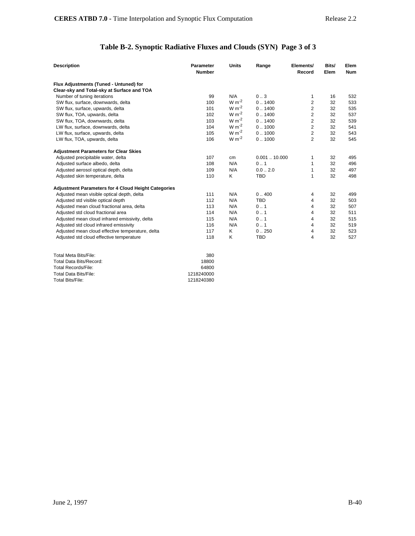# **Table B-2. Synoptic Radiative Fluxes and Clouds (SYN) Page 3 of 3**

| Flux Adjustments (Tuned - Untuned) for<br>Clear-sky and Total-sky at Surface and TOA<br>N/A<br>0.3<br>Number of tuning iterations<br>99<br>532<br>16<br>1<br>$W m-2$<br>0.1400<br>2<br>32<br>SW flux, surface, downwards, delta<br>100<br>533<br>$W m^{-2}$<br>2<br>101<br>0.1400<br>535<br>SW flux, surface, upwards, delta<br>32<br>$W m^{-2}$<br>$\overline{2}$<br>SW flux, TOA, upwards, delta<br>102<br>0.1400<br>32<br>537<br>$\overline{2}$<br>$W m-2$<br>103<br>0.1400<br>539<br>SW flux, TOA, downwards, delta<br>32<br>$W m-2$<br>$\overline{2}$<br>104<br>0.1000<br>541<br>LW flux, surface, downwards, delta<br>32<br>$W m-2$<br>$\overline{2}$<br>0.1000<br>LW flux, surface, upwards, delta<br>105<br>32<br>543<br>$W m-2$<br>$\overline{2}$<br>0.1000<br>32<br>LW flux, TOA, upwards, delta<br>106<br>545<br><b>Adjustment Parameters for Clear Skies</b><br>32<br>Adjusted precipitable water, delta<br>107<br>0.00110.000<br>1<br>495<br>cm<br>N/A<br>0.1<br>32<br>Adjusted surface albedo, delta<br>108<br>1<br>496<br>0.02.0<br>32<br>109<br>N/A<br>1<br>497<br>Adjusted aerosol optical depth, delta<br><b>TBD</b><br>$\mathbf{1}$<br>32<br>Adjusted skin temperature, delta<br>110<br>Κ<br>498<br><b>Adjustment Parameters for 4 Cloud Height Categories</b><br>111<br>N/A<br>0.400<br>32<br>Adjusted mean visible optical depth, delta<br>499<br>4<br>N/A<br><b>TBD</b><br>112<br>4<br>32<br>Adjusted std visible optical depth<br>503<br>Adjusted mean cloud fractional area, delta<br>N/A<br>0.1<br>32<br>507<br>113<br>4<br>Adjusted std cloud fractional area<br>114<br>N/A<br>0.1<br>32<br>511<br>4<br>Adjusted mean cloud infrared emissivity, delta<br>115<br>N/A<br>0.1<br>4<br>32<br>515<br>N/A<br>0.1<br>519<br>Adjusted std cloud infrared emissivity<br>116<br>4<br>32<br>Adjusted mean cloud effective temperature, delta<br>Κ<br>0.250<br>523<br>117<br>4<br>32<br><b>TBD</b><br>527<br>118<br>Κ<br>4<br>32<br>Adjusted std cloud effective temperature<br>Total Meta Bits/File:<br>380<br><b>Total Data Bits/Record:</b><br>18800<br><b>Total Records/File:</b><br>64800<br><b>Total Data Bits/File:</b><br>1218240000 | <b>Description</b>      | Parameter<br><b>Number</b> | <b>Units</b> | Range | Elements/<br>Record | Bits/<br>Elem | Elem<br><b>Num</b> |
|-------------------------------------------------------------------------------------------------------------------------------------------------------------------------------------------------------------------------------------------------------------------------------------------------------------------------------------------------------------------------------------------------------------------------------------------------------------------------------------------------------------------------------------------------------------------------------------------------------------------------------------------------------------------------------------------------------------------------------------------------------------------------------------------------------------------------------------------------------------------------------------------------------------------------------------------------------------------------------------------------------------------------------------------------------------------------------------------------------------------------------------------------------------------------------------------------------------------------------------------------------------------------------------------------------------------------------------------------------------------------------------------------------------------------------------------------------------------------------------------------------------------------------------------------------------------------------------------------------------------------------------------------------------------------------------------------------------------------------------------------------------------------------------------------------------------------------------------------------------------------------------------------------------------------------------------------------------------------------------------------------------------------------------------------------------------------------------------------------------------------------------------------------------|-------------------------|----------------------------|--------------|-------|---------------------|---------------|--------------------|
|                                                                                                                                                                                                                                                                                                                                                                                                                                                                                                                                                                                                                                                                                                                                                                                                                                                                                                                                                                                                                                                                                                                                                                                                                                                                                                                                                                                                                                                                                                                                                                                                                                                                                                                                                                                                                                                                                                                                                                                                                                                                                                                                                             |                         |                            |              |       |                     |               |                    |
|                                                                                                                                                                                                                                                                                                                                                                                                                                                                                                                                                                                                                                                                                                                                                                                                                                                                                                                                                                                                                                                                                                                                                                                                                                                                                                                                                                                                                                                                                                                                                                                                                                                                                                                                                                                                                                                                                                                                                                                                                                                                                                                                                             |                         |                            |              |       |                     |               |                    |
|                                                                                                                                                                                                                                                                                                                                                                                                                                                                                                                                                                                                                                                                                                                                                                                                                                                                                                                                                                                                                                                                                                                                                                                                                                                                                                                                                                                                                                                                                                                                                                                                                                                                                                                                                                                                                                                                                                                                                                                                                                                                                                                                                             |                         |                            |              |       |                     |               |                    |
|                                                                                                                                                                                                                                                                                                                                                                                                                                                                                                                                                                                                                                                                                                                                                                                                                                                                                                                                                                                                                                                                                                                                                                                                                                                                                                                                                                                                                                                                                                                                                                                                                                                                                                                                                                                                                                                                                                                                                                                                                                                                                                                                                             |                         |                            |              |       |                     |               |                    |
|                                                                                                                                                                                                                                                                                                                                                                                                                                                                                                                                                                                                                                                                                                                                                                                                                                                                                                                                                                                                                                                                                                                                                                                                                                                                                                                                                                                                                                                                                                                                                                                                                                                                                                                                                                                                                                                                                                                                                                                                                                                                                                                                                             |                         |                            |              |       |                     |               |                    |
|                                                                                                                                                                                                                                                                                                                                                                                                                                                                                                                                                                                                                                                                                                                                                                                                                                                                                                                                                                                                                                                                                                                                                                                                                                                                                                                                                                                                                                                                                                                                                                                                                                                                                                                                                                                                                                                                                                                                                                                                                                                                                                                                                             |                         |                            |              |       |                     |               |                    |
|                                                                                                                                                                                                                                                                                                                                                                                                                                                                                                                                                                                                                                                                                                                                                                                                                                                                                                                                                                                                                                                                                                                                                                                                                                                                                                                                                                                                                                                                                                                                                                                                                                                                                                                                                                                                                                                                                                                                                                                                                                                                                                                                                             |                         |                            |              |       |                     |               |                    |
|                                                                                                                                                                                                                                                                                                                                                                                                                                                                                                                                                                                                                                                                                                                                                                                                                                                                                                                                                                                                                                                                                                                                                                                                                                                                                                                                                                                                                                                                                                                                                                                                                                                                                                                                                                                                                                                                                                                                                                                                                                                                                                                                                             |                         |                            |              |       |                     |               |                    |
|                                                                                                                                                                                                                                                                                                                                                                                                                                                                                                                                                                                                                                                                                                                                                                                                                                                                                                                                                                                                                                                                                                                                                                                                                                                                                                                                                                                                                                                                                                                                                                                                                                                                                                                                                                                                                                                                                                                                                                                                                                                                                                                                                             |                         |                            |              |       |                     |               |                    |
|                                                                                                                                                                                                                                                                                                                                                                                                                                                                                                                                                                                                                                                                                                                                                                                                                                                                                                                                                                                                                                                                                                                                                                                                                                                                                                                                                                                                                                                                                                                                                                                                                                                                                                                                                                                                                                                                                                                                                                                                                                                                                                                                                             |                         |                            |              |       |                     |               |                    |
|                                                                                                                                                                                                                                                                                                                                                                                                                                                                                                                                                                                                                                                                                                                                                                                                                                                                                                                                                                                                                                                                                                                                                                                                                                                                                                                                                                                                                                                                                                                                                                                                                                                                                                                                                                                                                                                                                                                                                                                                                                                                                                                                                             |                         |                            |              |       |                     |               |                    |
|                                                                                                                                                                                                                                                                                                                                                                                                                                                                                                                                                                                                                                                                                                                                                                                                                                                                                                                                                                                                                                                                                                                                                                                                                                                                                                                                                                                                                                                                                                                                                                                                                                                                                                                                                                                                                                                                                                                                                                                                                                                                                                                                                             |                         |                            |              |       |                     |               |                    |
|                                                                                                                                                                                                                                                                                                                                                                                                                                                                                                                                                                                                                                                                                                                                                                                                                                                                                                                                                                                                                                                                                                                                                                                                                                                                                                                                                                                                                                                                                                                                                                                                                                                                                                                                                                                                                                                                                                                                                                                                                                                                                                                                                             |                         |                            |              |       |                     |               |                    |
|                                                                                                                                                                                                                                                                                                                                                                                                                                                                                                                                                                                                                                                                                                                                                                                                                                                                                                                                                                                                                                                                                                                                                                                                                                                                                                                                                                                                                                                                                                                                                                                                                                                                                                                                                                                                                                                                                                                                                                                                                                                                                                                                                             |                         |                            |              |       |                     |               |                    |
|                                                                                                                                                                                                                                                                                                                                                                                                                                                                                                                                                                                                                                                                                                                                                                                                                                                                                                                                                                                                                                                                                                                                                                                                                                                                                                                                                                                                                                                                                                                                                                                                                                                                                                                                                                                                                                                                                                                                                                                                                                                                                                                                                             |                         |                            |              |       |                     |               |                    |
|                                                                                                                                                                                                                                                                                                                                                                                                                                                                                                                                                                                                                                                                                                                                                                                                                                                                                                                                                                                                                                                                                                                                                                                                                                                                                                                                                                                                                                                                                                                                                                                                                                                                                                                                                                                                                                                                                                                                                                                                                                                                                                                                                             |                         |                            |              |       |                     |               |                    |
|                                                                                                                                                                                                                                                                                                                                                                                                                                                                                                                                                                                                                                                                                                                                                                                                                                                                                                                                                                                                                                                                                                                                                                                                                                                                                                                                                                                                                                                                                                                                                                                                                                                                                                                                                                                                                                                                                                                                                                                                                                                                                                                                                             |                         |                            |              |       |                     |               |                    |
|                                                                                                                                                                                                                                                                                                                                                                                                                                                                                                                                                                                                                                                                                                                                                                                                                                                                                                                                                                                                                                                                                                                                                                                                                                                                                                                                                                                                                                                                                                                                                                                                                                                                                                                                                                                                                                                                                                                                                                                                                                                                                                                                                             |                         |                            |              |       |                     |               |                    |
|                                                                                                                                                                                                                                                                                                                                                                                                                                                                                                                                                                                                                                                                                                                                                                                                                                                                                                                                                                                                                                                                                                                                                                                                                                                                                                                                                                                                                                                                                                                                                                                                                                                                                                                                                                                                                                                                                                                                                                                                                                                                                                                                                             |                         |                            |              |       |                     |               |                    |
|                                                                                                                                                                                                                                                                                                                                                                                                                                                                                                                                                                                                                                                                                                                                                                                                                                                                                                                                                                                                                                                                                                                                                                                                                                                                                                                                                                                                                                                                                                                                                                                                                                                                                                                                                                                                                                                                                                                                                                                                                                                                                                                                                             |                         |                            |              |       |                     |               |                    |
|                                                                                                                                                                                                                                                                                                                                                                                                                                                                                                                                                                                                                                                                                                                                                                                                                                                                                                                                                                                                                                                                                                                                                                                                                                                                                                                                                                                                                                                                                                                                                                                                                                                                                                                                                                                                                                                                                                                                                                                                                                                                                                                                                             |                         |                            |              |       |                     |               |                    |
|                                                                                                                                                                                                                                                                                                                                                                                                                                                                                                                                                                                                                                                                                                                                                                                                                                                                                                                                                                                                                                                                                                                                                                                                                                                                                                                                                                                                                                                                                                                                                                                                                                                                                                                                                                                                                                                                                                                                                                                                                                                                                                                                                             |                         |                            |              |       |                     |               |                    |
|                                                                                                                                                                                                                                                                                                                                                                                                                                                                                                                                                                                                                                                                                                                                                                                                                                                                                                                                                                                                                                                                                                                                                                                                                                                                                                                                                                                                                                                                                                                                                                                                                                                                                                                                                                                                                                                                                                                                                                                                                                                                                                                                                             |                         |                            |              |       |                     |               |                    |
|                                                                                                                                                                                                                                                                                                                                                                                                                                                                                                                                                                                                                                                                                                                                                                                                                                                                                                                                                                                                                                                                                                                                                                                                                                                                                                                                                                                                                                                                                                                                                                                                                                                                                                                                                                                                                                                                                                                                                                                                                                                                                                                                                             |                         |                            |              |       |                     |               |                    |
|                                                                                                                                                                                                                                                                                                                                                                                                                                                                                                                                                                                                                                                                                                                                                                                                                                                                                                                                                                                                                                                                                                                                                                                                                                                                                                                                                                                                                                                                                                                                                                                                                                                                                                                                                                                                                                                                                                                                                                                                                                                                                                                                                             |                         |                            |              |       |                     |               |                    |
|                                                                                                                                                                                                                                                                                                                                                                                                                                                                                                                                                                                                                                                                                                                                                                                                                                                                                                                                                                                                                                                                                                                                                                                                                                                                                                                                                                                                                                                                                                                                                                                                                                                                                                                                                                                                                                                                                                                                                                                                                                                                                                                                                             |                         |                            |              |       |                     |               |                    |
|                                                                                                                                                                                                                                                                                                                                                                                                                                                                                                                                                                                                                                                                                                                                                                                                                                                                                                                                                                                                                                                                                                                                                                                                                                                                                                                                                                                                                                                                                                                                                                                                                                                                                                                                                                                                                                                                                                                                                                                                                                                                                                                                                             |                         |                            |              |       |                     |               |                    |
|                                                                                                                                                                                                                                                                                                                                                                                                                                                                                                                                                                                                                                                                                                                                                                                                                                                                                                                                                                                                                                                                                                                                                                                                                                                                                                                                                                                                                                                                                                                                                                                                                                                                                                                                                                                                                                                                                                                                                                                                                                                                                                                                                             |                         |                            |              |       |                     |               |                    |
|                                                                                                                                                                                                                                                                                                                                                                                                                                                                                                                                                                                                                                                                                                                                                                                                                                                                                                                                                                                                                                                                                                                                                                                                                                                                                                                                                                                                                                                                                                                                                                                                                                                                                                                                                                                                                                                                                                                                                                                                                                                                                                                                                             | <b>Total Bits/File:</b> | 1218240380                 |              |       |                     |               |                    |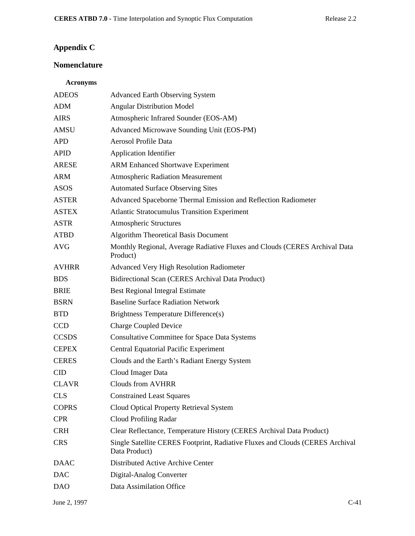# **Appendix C**

# **Nomenclature**

## **Acronyms**

| <b>ADEOS</b> | <b>Advanced Earth Observing System</b>                                                         |
|--------------|------------------------------------------------------------------------------------------------|
| <b>ADM</b>   | <b>Angular Distribution Model</b>                                                              |
| <b>AIRS</b>  | Atmospheric Infrared Sounder (EOS-AM)                                                          |
| <b>AMSU</b>  | Advanced Microwave Sounding Unit (EOS-PM)                                                      |
| <b>APD</b>   | Aerosol Profile Data                                                                           |
| <b>APID</b>  | <b>Application Identifier</b>                                                                  |
| <b>ARESE</b> | <b>ARM Enhanced Shortwave Experiment</b>                                                       |
| <b>ARM</b>   | <b>Atmospheric Radiation Measurement</b>                                                       |
| <b>ASOS</b>  | <b>Automated Surface Observing Sites</b>                                                       |
| <b>ASTER</b> | Advanced Spaceborne Thermal Emission and Reflection Radiometer                                 |
| <b>ASTEX</b> | <b>Atlantic Stratocumulus Transition Experiment</b>                                            |
| <b>ASTR</b>  | <b>Atmospheric Structures</b>                                                                  |
| <b>ATBD</b>  | <b>Algorithm Theoretical Basis Document</b>                                                    |
| <b>AVG</b>   | Monthly Regional, Average Radiative Fluxes and Clouds (CERES Archival Data<br>Product)         |
| <b>AVHRR</b> | <b>Advanced Very High Resolution Radiometer</b>                                                |
| <b>BDS</b>   | Bidirectional Scan (CERES Archival Data Product)                                               |
| <b>BRIE</b>  | <b>Best Regional Integral Estimate</b>                                                         |
| <b>BSRN</b>  | <b>Baseline Surface Radiation Network</b>                                                      |
| <b>BTD</b>   | Brightness Temperature Difference(s)                                                           |
| CCD          | <b>Charge Coupled Device</b>                                                                   |
| <b>CCSDS</b> | <b>Consultative Committee for Space Data Systems</b>                                           |
| <b>CEPEX</b> | <b>Central Equatorial Pacific Experiment</b>                                                   |
| <b>CERES</b> | Clouds and the Earth's Radiant Energy System                                                   |
| <b>CID</b>   | Cloud Imager Data                                                                              |
| <b>CLAVR</b> | <b>Clouds from AVHRR</b>                                                                       |
| <b>CLS</b>   | <b>Constrained Least Squares</b>                                                               |
| <b>COPRS</b> | Cloud Optical Property Retrieval System                                                        |
| <b>CPR</b>   | Cloud Profiling Radar                                                                          |
| <b>CRH</b>   | Clear Reflectance, Temperature History (CERES Archival Data Product)                           |
| <b>CRS</b>   | Single Satellite CERES Footprint, Radiative Fluxes and Clouds (CERES Archival<br>Data Product) |
| <b>DAAC</b>  | Distributed Active Archive Center                                                              |
| <b>DAC</b>   | Digital-Analog Converter                                                                       |
| <b>DAO</b>   | Data Assimilation Office                                                                       |
|              |                                                                                                |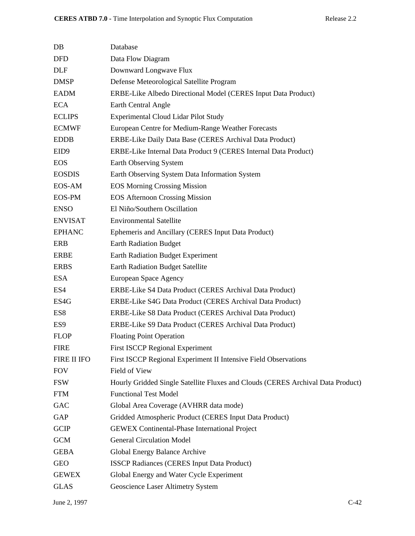| $DB$             | Database                                                                        |
|------------------|---------------------------------------------------------------------------------|
|                  |                                                                                 |
| <b>DFD</b>       | Data Flow Diagram                                                               |
| <b>DLF</b>       | Downward Longwave Flux                                                          |
| <b>DMSP</b>      | Defense Meteorological Satellite Program                                        |
| <b>EADM</b>      | ERBE-Like Albedo Directional Model (CERES Input Data Product)                   |
| <b>ECA</b>       | Earth Central Angle                                                             |
| <b>ECLIPS</b>    | <b>Experimental Cloud Lidar Pilot Study</b>                                     |
| <b>ECMWF</b>     | European Centre for Medium-Range Weather Forecasts                              |
| <b>EDDB</b>      | ERBE-Like Daily Data Base (CERES Archival Data Product)                         |
| EID <sub>9</sub> | ERBE-Like Internal Data Product 9 (CERES Internal Data Product)                 |
| <b>EOS</b>       | Earth Observing System                                                          |
| <b>EOSDIS</b>    | Earth Observing System Data Information System                                  |
| EOS-AM           | <b>EOS Morning Crossing Mission</b>                                             |
| EOS-PM           | <b>EOS Afternoon Crossing Mission</b>                                           |
| <b>ENSO</b>      | El Niño/Southern Oscillation                                                    |
| <b>ENVISAT</b>   | <b>Environmental Satellite</b>                                                  |
| <b>EPHANC</b>    | Ephemeris and Ancillary (CERES Input Data Product)                              |
| <b>ERB</b>       | <b>Earth Radiation Budget</b>                                                   |
| <b>ERBE</b>      | <b>Earth Radiation Budget Experiment</b>                                        |
| <b>ERBS</b>      | <b>Earth Radiation Budget Satellite</b>                                         |
| <b>ESA</b>       | European Space Agency                                                           |
| ES4              | ERBE-Like S4 Data Product (CERES Archival Data Product)                         |
| ES4G             | ERBE-Like S4G Data Product (CERES Archival Data Product)                        |
| ES8              | ERBE-Like S8 Data Product (CERES Archival Data Product)                         |
| ES <sub>9</sub>  | ERBE-Like S9 Data Product (CERES Archival Data Product)                         |
| <b>FLOP</b>      | <b>Floating Point Operation</b>                                                 |
| <b>FIRE</b>      | <b>First ISCCP Regional Experiment</b>                                          |
| FIRE II IFO      | First ISCCP Regional Experiment II Intensive Field Observations                 |
| <b>FOV</b>       | Field of View                                                                   |
| <b>FSW</b>       | Hourly Gridded Single Satellite Fluxes and Clouds (CERES Archival Data Product) |
| <b>FTM</b>       | <b>Functional Test Model</b>                                                    |
| GAC              | Global Area Coverage (AVHRR data mode)                                          |
| GAP              | Gridded Atmospheric Product (CERES Input Data Product)                          |
| <b>GCIP</b>      | <b>GEWEX Continental-Phase International Project</b>                            |
| <b>GCM</b>       | <b>General Circulation Model</b>                                                |
| <b>GEBA</b>      | Global Energy Balance Archive                                                   |
| <b>GEO</b>       | ISSCP Radiances (CERES Input Data Product)                                      |
| <b>GEWEX</b>     | Global Energy and Water Cycle Experiment                                        |
| <b>GLAS</b>      | Geoscience Laser Altimetry System                                               |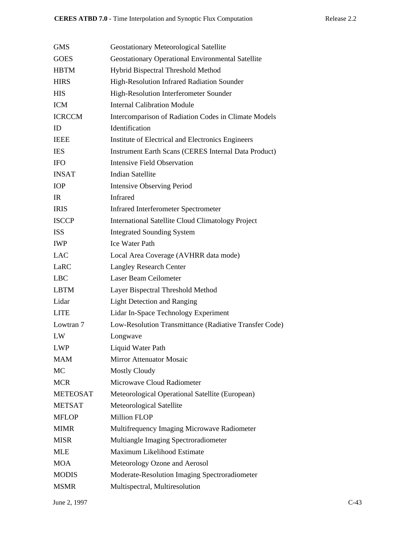| <b>GMS</b>      | Geostationary Meteorological Satellite                      |
|-----------------|-------------------------------------------------------------|
| <b>GOES</b>     | Geostationary Operational Environmental Satellite           |
| <b>HBTM</b>     | Hybrid Bispectral Threshold Method                          |
| <b>HIRS</b>     | High-Resolution Infrared Radiation Sounder                  |
| <b>HIS</b>      | High-Resolution Interferometer Sounder                      |
| <b>ICM</b>      | <b>Internal Calibration Module</b>                          |
| <b>ICRCCM</b>   | Intercomparison of Radiation Codes in Climate Models        |
| ID              | Identification                                              |
| <b>IEEE</b>     | Institute of Electrical and Electronics Engineers           |
| <b>IES</b>      | <b>Instrument Earth Scans (CERES Internal Data Product)</b> |
| <b>IFO</b>      | Intensive Field Observation                                 |
| <b>INSAT</b>    | <b>Indian Satellite</b>                                     |
| <b>IOP</b>      | <b>Intensive Observing Period</b>                           |
| <b>IR</b>       | <b>Infrared</b>                                             |
| <b>IRIS</b>     | <b>Infrared Interferometer Spectrometer</b>                 |
| <b>ISCCP</b>    | <b>International Satellite Cloud Climatology Project</b>    |
| <b>ISS</b>      | <b>Integrated Sounding System</b>                           |
| <b>IWP</b>      | <b>Ice Water Path</b>                                       |
| <b>LAC</b>      | Local Area Coverage (AVHRR data mode)                       |
| LaRC            | <b>Langley Research Center</b>                              |
| <b>LBC</b>      | Laser Beam Ceilometer                                       |
| <b>LBTM</b>     | Layer Bispectral Threshold Method                           |
| Lidar           | <b>Light Detection and Ranging</b>                          |
| <b>LITE</b>     | Lidar In-Space Technology Experiment                        |
| Lowtran 7       | Low-Resolution Transmittance (Radiative Transfer Code)      |
| LW              | Longwave                                                    |
| <b>LWP</b>      | Liquid Water Path                                           |
| <b>MAM</b>      | <b>Mirror Attenuator Mosaic</b>                             |
| MC              | <b>Mostly Cloudy</b>                                        |
| <b>MCR</b>      | Microwave Cloud Radiometer                                  |
| <b>METEOSAT</b> | Meteorological Operational Satellite (European)             |
| <b>METSAT</b>   | Meteorological Satellite                                    |
| <b>MFLOP</b>    | <b>Million FLOP</b>                                         |
| <b>MIMR</b>     | Multifrequency Imaging Microwave Radiometer                 |
| <b>MISR</b>     | Multiangle Imaging Spectroradiometer                        |
| <b>MLE</b>      | Maximum Likelihood Estimate                                 |
| <b>MOA</b>      | Meteorology Ozone and Aerosol                               |
| <b>MODIS</b>    | Moderate-Resolution Imaging Spectroradiometer               |
| <b>MSMR</b>     | Multispectral, Multiresolution                              |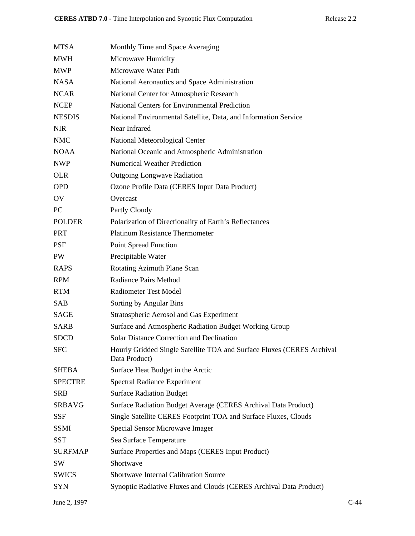| <b>MTSA</b>    | Monthly Time and Space Averaging                                                        |
|----------------|-----------------------------------------------------------------------------------------|
| <b>MWH</b>     | Microwave Humidity                                                                      |
| <b>MWP</b>     | Microwave Water Path                                                                    |
| <b>NASA</b>    | National Aeronautics and Space Administration                                           |
| <b>NCAR</b>    | National Center for Atmospheric Research                                                |
| <b>NCEP</b>    | <b>National Centers for Environmental Prediction</b>                                    |
| <b>NESDIS</b>  | National Environmental Satellite, Data, and Information Service                         |
| <b>NIR</b>     | Near Infrared                                                                           |
| <b>NMC</b>     | National Meteorological Center                                                          |
| <b>NOAA</b>    | National Oceanic and Atmospheric Administration                                         |
| <b>NWP</b>     | <b>Numerical Weather Prediction</b>                                                     |
| <b>OLR</b>     | <b>Outgoing Longwave Radiation</b>                                                      |
| <b>OPD</b>     | Ozone Profile Data (CERES Input Data Product)                                           |
| OV             | Overcast                                                                                |
| PC             | Partly Cloudy                                                                           |
| <b>POLDER</b>  | Polarization of Directionality of Earth's Reflectances                                  |
| <b>PRT</b>     | <b>Platinum Resistance Thermometer</b>                                                  |
| <b>PSF</b>     | <b>Point Spread Function</b>                                                            |
| PW             | Precipitable Water                                                                      |
| <b>RAPS</b>    | Rotating Azimuth Plane Scan                                                             |
| <b>RPM</b>     | <b>Radiance Pairs Method</b>                                                            |
| <b>RTM</b>     | <b>Radiometer Test Model</b>                                                            |
| <b>SAB</b>     | Sorting by Angular Bins                                                                 |
| SAGE           | Stratospheric Aerosol and Gas Experiment                                                |
| <b>SARB</b>    | Surface and Atmospheric Radiation Budget Working Group                                  |
| <b>SDCD</b>    | <b>Solar Distance Correction and Declination</b>                                        |
| <b>SFC</b>     | Hourly Gridded Single Satellite TOA and Surface Fluxes (CERES Archival<br>Data Product) |
| <b>SHEBA</b>   | Surface Heat Budget in the Arctic                                                       |
| <b>SPECTRE</b> | <b>Spectral Radiance Experiment</b>                                                     |
| <b>SRB</b>     | <b>Surface Radiation Budget</b>                                                         |
| <b>SRBAVG</b>  | Surface Radiation Budget Average (CERES Archival Data Product)                          |
| <b>SSF</b>     | Single Satellite CERES Footprint TOA and Surface Fluxes, Clouds                         |
| <b>SSMI</b>    | Special Sensor Microwave Imager                                                         |
| <b>SST</b>     | Sea Surface Temperature                                                                 |
| <b>SURFMAP</b> | Surface Properties and Maps (CERES Input Product)                                       |
| SW             | Shortwave                                                                               |
| <b>SWICS</b>   | <b>Shortwave Internal Calibration Source</b>                                            |
| <b>SYN</b>     | Synoptic Radiative Fluxes and Clouds (CERES Archival Data Product)                      |
|                |                                                                                         |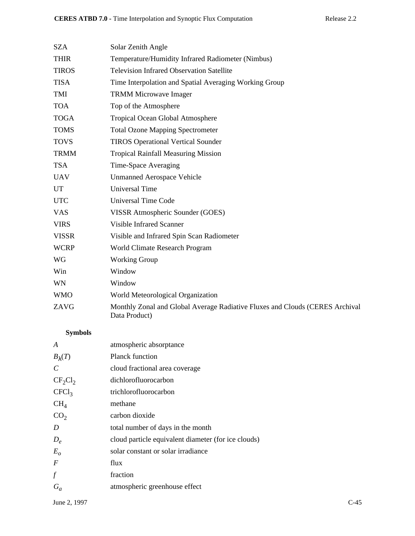| <b>SZA</b><br>Solar Zenith Angle<br><b>THIR</b><br>Temperature/Humidity Infrared Radiometer (Nimbus)<br><b>Television Infrared Observation Satellite</b><br><b>TIROS</b><br><b>TISA</b><br>Time Interpolation and Spatial Averaging Working Group<br>TMI<br><b>TRMM Microwave Imager</b><br>Top of the Atmosphere<br><b>TOA</b><br><b>TOGA</b><br>Tropical Ocean Global Atmosphere<br><b>TOMS</b><br><b>Total Ozone Mapping Spectrometer</b><br><b>TOVS</b><br><b>TIROS Operational Vertical Sounder</b><br><b>TRMM</b><br><b>Tropical Rainfall Measuring Mission</b><br><b>TSA</b><br>Time-Space Averaging<br><b>UAV</b><br><b>Unmanned Aerospace Vehicle</b> |  |
|----------------------------------------------------------------------------------------------------------------------------------------------------------------------------------------------------------------------------------------------------------------------------------------------------------------------------------------------------------------------------------------------------------------------------------------------------------------------------------------------------------------------------------------------------------------------------------------------------------------------------------------------------------------|--|
|                                                                                                                                                                                                                                                                                                                                                                                                                                                                                                                                                                                                                                                                |  |
|                                                                                                                                                                                                                                                                                                                                                                                                                                                                                                                                                                                                                                                                |  |
|                                                                                                                                                                                                                                                                                                                                                                                                                                                                                                                                                                                                                                                                |  |
|                                                                                                                                                                                                                                                                                                                                                                                                                                                                                                                                                                                                                                                                |  |
|                                                                                                                                                                                                                                                                                                                                                                                                                                                                                                                                                                                                                                                                |  |
|                                                                                                                                                                                                                                                                                                                                                                                                                                                                                                                                                                                                                                                                |  |
|                                                                                                                                                                                                                                                                                                                                                                                                                                                                                                                                                                                                                                                                |  |
|                                                                                                                                                                                                                                                                                                                                                                                                                                                                                                                                                                                                                                                                |  |
|                                                                                                                                                                                                                                                                                                                                                                                                                                                                                                                                                                                                                                                                |  |
|                                                                                                                                                                                                                                                                                                                                                                                                                                                                                                                                                                                                                                                                |  |
|                                                                                                                                                                                                                                                                                                                                                                                                                                                                                                                                                                                                                                                                |  |
|                                                                                                                                                                                                                                                                                                                                                                                                                                                                                                                                                                                                                                                                |  |
| <b>Universal Time</b><br><b>UT</b>                                                                                                                                                                                                                                                                                                                                                                                                                                                                                                                                                                                                                             |  |
| <b>UTC</b><br><b>Universal Time Code</b>                                                                                                                                                                                                                                                                                                                                                                                                                                                                                                                                                                                                                       |  |
| <b>VAS</b><br>VISSR Atmospheric Sounder (GOES)                                                                                                                                                                                                                                                                                                                                                                                                                                                                                                                                                                                                                 |  |
| <b>Visible Infrared Scanner</b><br><b>VIRS</b>                                                                                                                                                                                                                                                                                                                                                                                                                                                                                                                                                                                                                 |  |
| <b>VISSR</b><br>Visible and Infrared Spin Scan Radiometer                                                                                                                                                                                                                                                                                                                                                                                                                                                                                                                                                                                                      |  |
| <b>WCRP</b><br>World Climate Research Program                                                                                                                                                                                                                                                                                                                                                                                                                                                                                                                                                                                                                  |  |
| <b>WG</b><br><b>Working Group</b>                                                                                                                                                                                                                                                                                                                                                                                                                                                                                                                                                                                                                              |  |
| Window<br>Win                                                                                                                                                                                                                                                                                                                                                                                                                                                                                                                                                                                                                                                  |  |
| <b>WN</b><br>Window                                                                                                                                                                                                                                                                                                                                                                                                                                                                                                                                                                                                                                            |  |
| World Meteorological Organization<br><b>WMO</b>                                                                                                                                                                                                                                                                                                                                                                                                                                                                                                                                                                                                                |  |
| ZAVG<br>Monthly Zonal and Global Average Radiative Fluxes and Clouds (CERES Archival<br>Data Product)                                                                                                                                                                                                                                                                                                                                                                                                                                                                                                                                                          |  |

# **Symbols**

| A                 | atmospheric absorptance                             |
|-------------------|-----------------------------------------------------|
| $B_{\lambda}(T)$  | <b>Planck function</b>                              |
| C                 | cloud fractional area coverage                      |
| $CF_2Cl_2$        | dichlorofluorocarbon                                |
| CFCl <sub>3</sub> | trichlorofluorocarbon                               |
| CH <sub>4</sub>   | methane                                             |
| CO <sub>2</sub>   | carbon dioxide                                      |
| D                 | total number of days in the month                   |
| $D_e$             | cloud particle equivalent diameter (for ice clouds) |
| $E_{o}$           | solar constant or solar irradiance                  |
| $\overline{F}$    | flux                                                |
| $\int f$          | fraction                                            |
| $G_a$             | atmospheric greenhouse effect                       |
|                   |                                                     |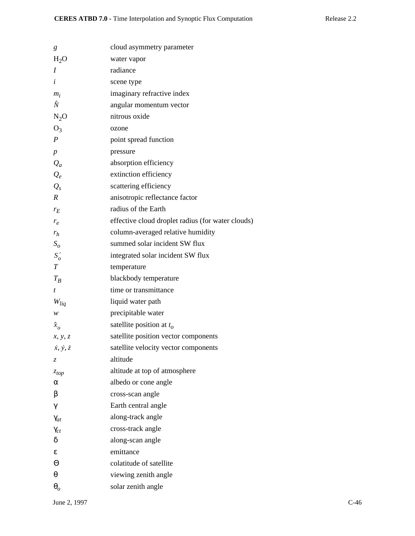| g                           | cloud asymmetry parameter                         |
|-----------------------------|---------------------------------------------------|
| $H_2O$                      | water vapor                                       |
| I                           | radiance                                          |
| $\dot{i}$                   | scene type                                        |
| $m_i$                       | imaginary refractive index                        |
| Ñ                           | angular momentum vector                           |
| $N_2O$                      | nitrous oxide                                     |
| $O_3$                       | ozone                                             |
| $\boldsymbol{P}$            | point spread function                             |
| $\boldsymbol{p}$            | pressure                                          |
| $\mathcal{Q}_a$             | absorption efficiency                             |
| $Q_e$                       | extinction efficiency                             |
| $Q_{s}$                     | scattering efficiency                             |
| $\boldsymbol{R}$            | anisotropic reflectance factor                    |
| $r_E$                       | radius of the Earth                               |
| $r_e$                       | effective cloud droplet radius (for water clouds) |
| $r_h$                       | column-averaged relative humidity                 |
| $S_{\rm o}$                 | summed solar incident SW flux                     |
| $S'_{o}$                    | integrated solar incident SW flux                 |
| $\boldsymbol{T}$            | temperature                                       |
| $T_B$                       | blackbody temperature                             |
| t                           | time or transmittance                             |
| $W_{liq}$                   | liquid water path                                 |
| w                           | precipitable water                                |
| $\hat{x}_o$                 | satellite position at $t_o$                       |
| x, y, z                     | satellite position vector components              |
| $\dot{x}, \dot{y}, \dot{z}$ | satellite velocity vector components              |
| Z.                          | altitude                                          |
| $z_{top}$                   | altitude at top of atmosphere                     |
| $\alpha$                    | albedo or cone angle                              |
| β                           | cross-scan angle                                  |
| γ                           | Earth central angle                               |
| $\gamma_{at}$               | along-track angle                                 |
| $\gamma_{ct}$               | cross-track angle                                 |
| δ                           | along-scan angle                                  |
| ε                           | emittance                                         |
| Θ                           | colatitude of satellite                           |
| θ                           | viewing zenith angle                              |
| $\boldsymbol{\theta}_{o}$   | solar zenith angle                                |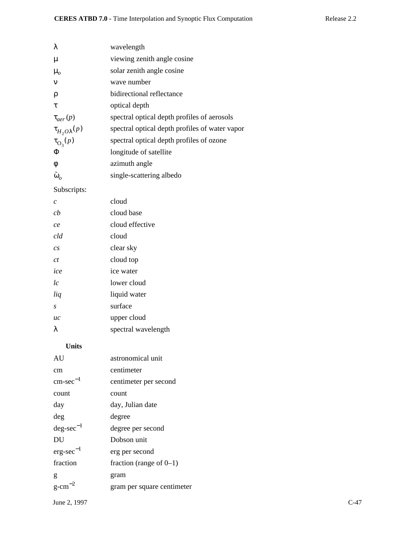| λ                       | wavelength                                     |
|-------------------------|------------------------------------------------|
| μ                       | viewing zenith angle cosine                    |
| $\mu_{o}$               | solar zenith angle cosine                      |
| $\mathbf{v}$            | wave number                                    |
| ρ                       | bidirectional reflectance                      |
| τ                       | optical depth                                  |
| $\tau_{aer}(p)$         | spectral optical depth profiles of aerosols    |
| $\tau_{H_2O\lambda}(p)$ | spectral optical depth profiles of water vapor |
| $\tau_{\text{O}_3}(p)$  | spectral optical depth profiles of ozone       |
| Φ                       | longitude of satellite                         |
| φ                       | azimuth angle                                  |
| $\tilde{\omega}_o$      | single-scattering albedo                       |

# Subscripts:

| cloud               |
|---------------------|
| cloud base          |
| cloud effective     |
| cloud               |
| clear sky           |
| cloud top           |
| ice water           |
| lower cloud         |
| liquid water        |
| surface             |
| upper cloud         |
| spectral wavelength |
|                     |

# **Units**

| AU                    | astronomical unit          |        |
|-----------------------|----------------------------|--------|
| cm                    | centimeter                 |        |
| $cm\text{-}sec^{-1}$  | centimeter per second      |        |
| count                 | count                      |        |
| day                   | day, Julian date           |        |
| deg                   | degree                     |        |
| $deg\text{-}sec^{-1}$ | degree per second          |        |
| DU                    | Dobson unit                |        |
| $erg\text{-}sec^{-1}$ | erg per second             |        |
| fraction              | fraction (range of $0-1$ ) |        |
| g                     | gram                       |        |
| $g$ -cm <sup>-2</sup> | gram per square centimeter |        |
| June 2, 1997          |                            | $C-47$ |